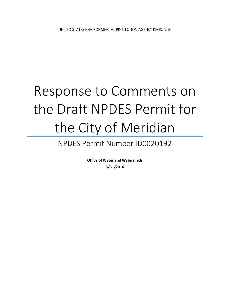# Response to Comments on the Draft NPDES Permit for the City of Meridian

# NPDES Permit Number ID0020192

**Office of Water and Watersheds 5/31/2016**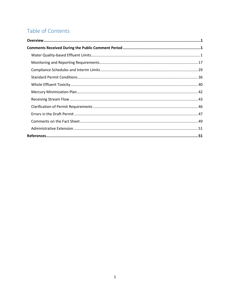# Table of Contents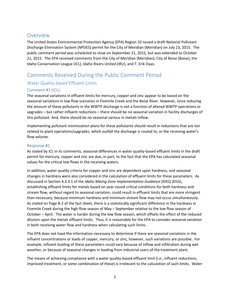# <span id="page-2-0"></span>**Overview**

The United States Environmental Protection Agency (EPA) Region 10 issued a draft National Pollutant Discharge Elimination System (NPDES) permit for the City of Meridian (Meridian) on July 23, 2015. The public comment period was scheduled to close on September 21, 2015, but was extended to October 21, 2015. The EPA received comments from the City of Meridian (Meridian), City of Boise (Boise), the Idaho Conservation League (ICL), Idaho Rivers United (IRU), and T. Erik Oaas.

# <span id="page-2-1"></span>Comments Received During the Public Comment Period

# <span id="page-2-2"></span>Water Quality-based Effluent Limits

# Comment #1 (ICL)

The seasonal variations in effluent limits for mercury, copper and zinc appear to be based on the seasonal variations in low flow scenarios in Fivemile Creek and the Boise River. However, since reducing the amount of these pollutants in the WWTP discharge is not a function of altered WWTP operations or upgrades – but rather influent reductions – there should be no seasonal variation in facility discharges of this pollutant. And, there should be no seasonal various in metals inflow.

Implementing pollutant minimization plans for these pollutants should result in reductions that are not related to plant operations/upgrades, which outfall the discharge is routed to, or the receiving water's flow volume.

# Response #1

As stated by ICL in its comments, seasonal differences in water quality-based effluent limits in the draft permit for mercury, copper and zinc are due, in part, to the fact that the EPA has calculated seasonal values for the critical low flows in the receiving waters.

In addition, water quality criteria for copper and zinc are dependent upon hardness, and seasonal changes in hardness were also considered in the calculation of effluent limits for these parameters. As discussed in Section 4.3.3.1 of the *Idaho Mixing Zone Implementation Guidance* (IDEQ 2016), establishing effluent limits for metals based on year-round critical conditions for both hardness and stream flow, without regard to seasonal variation, could result in effluent limits that are more stringent than necessary, because minimum hardness and minimum stream flow may not occur simultaneously. As stated on Page B-2 of the fact sheet, there is a statistically significant difference in the hardness in Fivemile Creek during the high flow season of May – September relative to the low flow season of October – April. The water is harder during the low flow season, which offsets the effect of the reduced dilution upon the metals effluent limits. Thus, it is reasonable for the EPA to consider seasonal variation in both receiving water flow and hardness when calculating such limits.

The EPA does not have the information necessary to determine if there are seasonal variations in the influent concentrations or loads of copper, mercury, or zinc, however, such variations are possible. For example, influent loading of these parameters could vary because of inflow and infiltration during wet weather, or because of seasonal changes in loading from industrial users of the treatment plant.

The means of achieving compliance with a water quality-based effluent limit (i.e., influent reductions, improved treatment, or some combination of these) is irrelevant to the calculation of such limits. Water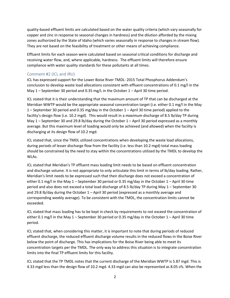quality-based effluent limits are calculated based on the water quality criteria (which vary seasonally for copper and zinc in response to seasonal changes in hardness) and the dilution afforded by the mixing zones authorized by the State of Idaho (which varies seasonally in response to changes in stream flow). They are not based on the feasibility of treatment or other means of achieving compliance.

Effluent limits for each season were calculated based on seasonal critical conditions for discharge and receiving water flow, and, where applicable, hardness. The effluent limits will therefore ensure compliance with water quality standards for these pollutants at all times.

# Comment #2 (ICL and IRU)

ICL has expressed support for the Lower Boise River TMDL: 2015 Total Phosphorus Addendum's conclusion to develop waste load allocations consistent with effluent concentrations of 0.1 mg/l in the May  $1$  – September 30 period and 0.35 mg/L in the October  $1$  – April 30 time period.

ICL stated that it is their understanding that the maximum amount of TP that can be discharged at the Meridian WWTP would be the appropriate seasonal concentration target (i.e. either 0.1 mg/l in the May 1 – September 30 period and 0.35 mg/day in the October 1 – April 30 time period) applied to the facility's design flow (i.e. 10.2 mgd). This would result in a *maximum* discharge of 8.5 lb/day TP during May 1 – September 30 and 29.8 lb/day during the October 1 – April 30 period expressed as a monthly average. But this maximum level of loading would only be achieved (and allowed) when the facility is discharging at its design flow of 10.2 mgd.

ICL stated that, since the TMDL utilized concentrations when developing the waste load allocations, during periods of lesser discharge flow from the facility (i.e. less than 10.2 mgd) total mass loading should be constrained by the need to stay within the concentrations utilized by the TMDL to develop the WLAs.

ICL stated that Meridian's TP effluent mass loading limit needs to be based on effluent concentration and discharge volume. It is not appropriate to only articulate this limit in terms of lb/day loading. Rather, Meridian's limit needs to be expressed such that their discharge does not exceed a concentration of either 0.1 mg/l in the May 1 – September 30 period or 0.35 mg/day in the October 1 – April 30 time period and also does not exceed a total load discharge of 8.5 lb/day TP during May 1 – September 30 and 29.8 lb/day during the October 1 – April 30 period (expressed as a monthly average and corresponding weekly average). To be consistent with the TMDL, the concentration limits cannot be exceeded.

ICL stated that mass loading has to be kept in check by requirements to not exceed the concentration of either 0.1 mg/l in the May 1 – September 30 period or 0.35 mg/day in the October 1 – April 30 time period.

ICL stated that, when considering this matter, it is important to note that during periods of reduced effluent discharge, the reduced effluent discharge volume results in the reduced flows in the Boise River below the point of discharge. This has implications for the Boise River being able to meet its concentration targets per the TMDL. The only way to address this situation is to integrate concentration limits into the final TP effluent limits for this facility.

ICL stated that the TP TMDL notes that the current discharge of the Meridian WWTP is 5.87 mgd. This is 4.33 mgd less than the design flow of 10.2 mgd. 4.33 mgd can also be represented as 8.05 cfs. When the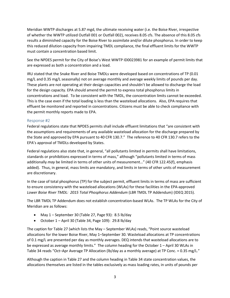Meridian WWTP discharges at 5.87 mgd, the ultimate receiving water (i.e. the Boise River, irrespective of whether the WWTP utilized Outfall 001 or Outfall 002), receives 8.05 cfs. The absence of this 8.05 cfs results a diminished capacity for the Boise River to assimilate and/or dilute phosphorus. In order to keep this reduced dilution capacity from impairing TMDL compliance, the final effluent limits for the WWTP must contain a concentration based limit.

See the NPDES permit for the City of Boise's West WWTP ID0023981 for an example of permit limits that are expressed as both a concentration and a load.

IRU stated that the Snake River and Boise TMDLs were developed based on concentrations of TP (0.01 mg/L and 0.35 mg/L seasonally) not on average monthly and average weekly limits of pounds per day. These plants are not operating at their design capacities and shouldn't be allowed to discharge the load for the design capacity. EPA should amend the permit to express total phosphorus limits in concentrations and load. To be consistent with the TMDL, the concentration limits cannot be exceeded. This is the case even if the total loading is less than the wasteload allocations. Also, EPA requires that effluent be monitored and reported in concentrations. Citizens must be able to check compliance with the permit monthly reports made to EPA.

#### Response #2

Federal regulations state that NPDES permits shall include effluent limitations that "are consistent with the assumptions and requirements of any available wasteload allocation for the discharge prepared by the State and approved by EPA pursuant to 40 CFR 130.7." The reference to 40 CFR 130.7 refers to the EPA's approval of TMDLs developed by States.

Federal regulations also state that, in general, "all pollutants limited in permits shall have limitations, standards or prohibitions expressed in terms of mass," although "pollutants limited in terms of mass additionally *may* be limited in terms of other units of measurement…" (40 CFR 122.45(f), emphasis added). Thus, in general, mass limits are mandatory, and limits in terms of other units of measurement are discretionary.

In the case of total phosphorus (TP) for the subject permit, effluent limits in terms of mass are sufficient to ensure consistency with the wasteload allocations (WLAs) for these facilities in the EPA-approved *Lower Boise River TMDL: 2015 Total Phosphorus Addendum* (LBR TMDL TP Addendum) (IDEQ 2015).

The LBR TMDL TP Addendum does not establish concentration-based WLAs. The TP WLAs for the City of Meridian are as follows:

- May 1 September 30 (Table 27, Page 93): 8.5 lb/day
- October 1 April 30 (Table 34, Page 109): 29.8 lb/day

The caption for Table 27 (which lists the May – September WLAs) reads, "Point source wasteload allocations for the lower Boise River, May 1–September 30. Wasteload allocations at TP concentrations of 0.1 mg/L are presented per day as monthly averages. DEQ intends that wasteload allocations are to be expressed as average monthly limits." The column heading for the October 1 – April 30 WLAs in Table 34 reads "Oct–Apr Average TP Allocation (lb/day as a monthly average) at TP Conc. = 0.35 mg/L."

Although the caption in Table 27 and the column heading in Table 34 state concentration values, the allocations themselves are listed in the tables exclusively as mass loading rates, in units of pounds per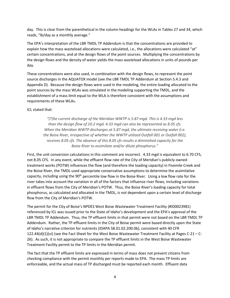day. This is clear from the parenthetical in the column headings for the WLAs in Tables 27 and 34, which reads, "lb/day as a monthly average."

The EPA's interpretation of the LBR TMDL TP Addendum is that the concentrations are provided to explain how the mass wasteload allocations were calculated, i.e., the allocations were calculated "at" certain concentrations, and at the design flows of the point sources. Multiplying the concentrations by the design flows and the density of water yields the mass wasteload allocations in units of pounds per day.

These concentrations were also used, in combination with the design flows, to represent the point source discharges in the AQUATOX model (see the LBR TMDL TP Addendum at Section 5.4.3 and Appendix D). Because the design flows were used in the modeling, the entire loading allocated to the point sources by the mass WLAs was simulated in the modeling supporting the TMDL, and the establishment of a mass limit equal to the WLA is therefore consistent with the assumptions and requirements of these WLAs.

#### ICL stated that:

*"(T)he current discharge of the Meridian WWTP is 5.87 mgd. This is 4.33 mgd less than the design flow of 10.2 mgd. 4.33 mgd can also be represented as 8.05 cfs. When the Meridian WWTP discharges at 5.87 mgd, the ultimate receiving water (i.e. the Boise River, irrespective of whether the WWTP utilized Outfall 001 or Outfall 002), receives 8.05 cfs. The absence of this 8.05 cfs results a diminished capacity for the Boise River to assimilate and/or dilute phosphorus."* 

First, the unit conversion calculations in this comment are incorrect. 4.33 mgd is equivalent to 6.70 CFS, not 8.05 CFS. In any event, while the effluent flow rate of the City of Meridian's publicly owned treatment works (POTW) influences the flow (and therefore the loading capacity) in Fivemile Creek and the Boise River, the TMDL used appropriate conservative assumptions to determine the assimilative capacity, including using the  $90<sup>th</sup>$  percentile low flow in the Boise River. Using a low flow rate for the river takes into account the variation in all of the factors that influence river flows, including variations in effluent flows from the City of Meridian's POTW. Thus, the Boise River's loading capacity for total phosphorus, as calculated and allocated in the TMDL, is not dependent upon a certain level of discharge flow from the City of Meridian's POTW.

The permit for the City of Boise's NPDES West Boise Wastewater Treatment Facility (#ID0023981) referenced by ICL was issued prior to the State of Idaho's development and the EPA's approval of the LBR TMDL TP Addendum. Thus, the TP effluent limits in that permit were not based on the LBR TMDL TP Addendum. Rather, the TP effluent limits in the City of Boise permit were based directly upon the State of Idaho's narrative criterion for nutrients (IDAPA 58.01.02.200.06), consistent with 40 CFR 122.44(d)(1)(vi) (see the Fact Sheet for the West Boise Wastewater Treatment Facility at Pages C-21 – C-26). As such, it is not appropriate to compare the TP effluent limits in the West Boise Wastewater Treatment Facility permit to the TP limits in the Meridian permit.

The fact that the TP effluent limits are expressed in terms of mass does not prevent citizens from checking compliance with the permit monthly per reports made to EPA. The mass TP limits are enforceable, and the actual mass of TP discharged must be reported each month. Effluent data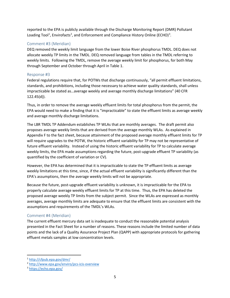reported to the EPA is publicly available through the Discharge Monitoring Report (DMR) Pollutant Loading Tool<sup>[1](#page-6-0)</sup>, Envirofacts<sup>[2](#page-6-1)</sup>, and Enforcement and Compliance History Online (ECHO)<sup>[3](#page-6-2)</sup>.

# Comment #3 (Meridian)

DEQ removed the weekly limit language from the lower Boise River phosphorus TMDL. DEQ does not allocate weekly TP limits in the TMDL. DEQ removed language from tables in the TMDL referring to weekly limits. Following the TMDL, remove the average weekly limit for phosphorus, for both May through September and October through April in Table 1.

#### Response #3

Federal regulations require that, for POTWs that discharge continuously, "all permit effluent limitations, standards, and prohibitions, including those necessary to achieve water quality standards, shall unless impracticable be stated as…average weekly and average monthly discharge limitations" (40 CFR 122.45(d)).

Thus, in order to remove the average weekly effluent limits for total phosphorus from the permit, the EPA would need to make a finding that it is "impracticable" to state the effluent limits as average weekly and average monthly discharge limitations.

The LBR TMDL TP Addendum establishes TP WLAs that are monthly averages. The draft permit also proposes average weekly limits that are derived from the average monthly WLAs. As explained in Appendix F to the fact sheet, because attainment of the proposed average monthly effluent limits for TP will require upgrades to the POTW, the historic effluent variability for TP may not be representative of future effluent variability. Instead of using the historic effluent variability for TP to calculate average weekly limits, the EPA made assumptions regarding the future, post-upgrade effluent TP variability (as quantified by the coefficient of variation or CV).

However, the EPA has determined that it is impracticable to state the TP effluent limits as average weekly limitations at this time, since, if the actual effluent variability is significantly different than the EPA's assumptions, then the average weekly limits will not be appropriate.

Because the future, post-upgrade effluent variability is unknown, it is impracticable for the EPA to properly calculate average weekly effluent limits for TP at this time. Thus, the EPA has deleted the proposed average weekly TP limits from the subject permit. Since the WLAs are expressed as monthly averages, average monthly limits are adequate to ensure that the effluent limits are consistent with the assumptions and requirements of the TMDL's WLAs.

#### Comment #4 (Meridian)

The current effluent mercury data set is inadequate to conduct the reasonable potential analysis presented in the Fact Sheet for a number of reasons. These reasons include the limited number of data points and the lack of a Quality Assurance Project Plan (QAPP) with appropriate protocols for gathering effluent metals samples at low concentration levels.

l

<span id="page-6-1"></span><span id="page-6-0"></span><sup>&</sup>lt;sup>1</sup> http://cfpub.epa.gov/dmr/<br><sup>2</sup> http://www.epa.gov/enviro/pcs-icis-overview<br><sup>3</sup> https://echo.epa.gov/

<span id="page-6-2"></span>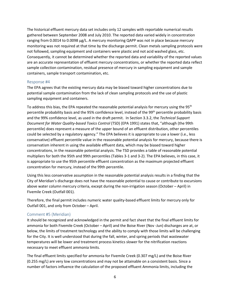The historical effluent mercury data set includes only 12 samples with reportable numerical results gathered between September 2008 and July 2010. The reported data varied widely in concentration ranging from 0.0014 to 0.0098 µg/L. A mercury monitoring QAPP was not in place because mercury monitoring was not required at that time by the discharge permit. Clean metals sampling protocols were not followed, sampling equipment and containers were plastic and not acid washed glass, etc. Consequently, it cannot be determined whether the reported data and variability of the reported values are an accurate representation of effluent mercury concentrations, or whether the reported data reflect sample collection contamination, residual presence of mercury in sampling equipment and sample containers, sample transport contamination, etc.

#### Response #4

The EPA agrees that the existing mercury data may be biased toward higher concentrations due to potential sample contamination from the lack of clean sampling protocols and the use of plastic sampling equipment and containers.

To address this bias, the EPA repeated the reasonable potential analysis for mercury using the 95<sup>th</sup> percentile probability basis and the 95% confidence level, instead of the 99<sup>th</sup> percentile probability basis and the 99% confidence level, as used in the draft permit. In Section 3.3.2, the *Technical Support Document for Water Quality-based Toxics Control* (TSD) (EPA 1991) states that, "although (the 99th percentile) does represent a measure of the upper bound of an effluent distribution, other percentiles could be selected by a regulatory agency." The EPA believes it is appropriate to use a lower (i.e., less conservative) effluent percentile value in the reasonable potential analysis for mercury, because there is conservatism inherent in using the available effluent data, which may be biased toward higher concentrations, in the reasonable potential analysis. The TSD provides a table of reasonable potential multipliers for both the 95th and 99th percentiles (Tables 3-1 and 3-2). The EPA believes, in this case, it is appropriate to use the 95th percentile effluent concentration as the maximum projected effluent concentration for mercury, instead of the 99th percentile.

Using this less conservative assumption in the reasonable potential analysis results in a finding that the City of Meridian's discharge does not have the reasonable potential to cause or contribute to excursions above water column mercury criteria, except during the non-irrigation season (October – April) in Fivemile Creek (Outfall 001).

Therefore, the final permit includes numeric water quality-based effluent limits for mercury only for Outfall 001, and only from October – April.

#### Comment #5 (Meridian)

It should be recognized and acknowledged in the permit and fact sheet that the final effluent limits for ammonia for both Fivemile Creek (October – April) and the Boise River (Nov -Jun) discharges are at, or below, the limits of treatment technology and the ability to comply with those limits will be challenging for the City. It is well understood that during the fall, winter, and spring periods that wastewater temperatures will be lower and treatment process kinetics slower for the nitrification reactions necessary to meet effluent ammonia limits.

The final effluent limits specified for ammonia for Fivemile Creek (0.307 mg/L) and the Boise River (0.255 mg/L) are very low concentrations and may not be attainable on a consistent basis. Since a number of factors influence the calculation of the proposed effluent Ammonia limits, including the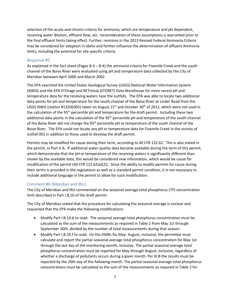selection of the acute and chronic criteria for ammonia, which are temperature and pH dependent, receiving water dilution, effluent flow, etc. reconsideration of these assumptions is warranted prior to the final effluent limits taking effect. Further, revisions in the 2013 Revised Federal Ammonia Criteria may be considered for adoption in Idaho and further influence the determination of effluent Ammonia limits, including the potential for site specific criteria.

#### Response #5

As explained in the fact sheet (Pages B-3 – B-4) the ammonia criteria for Fivemile Creek and the south channel of the Boise River were evaluated using pH and temperature data collected by the City of Meridian between April 2000 and March 2002.

The EPA searched the United States Geological Survey (USGS) National Water Information System (NWIS) and the EPA STOrage and RETreival (STORET) Data Warehouse for more recent pH and temperature data for the receiving waters near the outfalls. The EPA was able to locate two additional data points for pH and temperature for the south channel of the Boise River at Linder Road from the USGS NWIS (station #13206305) taken on August  $21<sup>st</sup>$  and October 30<sup>th</sup> of 2012, which were not used in the calculation of the 95<sup>th</sup> percentile pH and temperature for the draft permit. Including these two additional data points in the calculation of the 95<sup>th</sup> percentile pH and temperature of the south channel of the Boise River did not change the 95<sup>th</sup> percentile pH or temperature of the south channel of the Boise River. The EPA could not locate any pH or temperature data for Fivemile Creek in the vicinity of outfall 001 in addition to those used to develop the draft permit.

Permits may be modified for cause during their term, according to 40 CFR 122.62. This is also stated in the permit, in Part V.A. If additional water quality data become available during the term of this permit, which demonstrate that the pH or temperature of the receiving waters is significantly different than shown by the available data, this would be considered new information, which would be cause for modification of the permit (40 CFR 122.62(a)(2)). Since the ability to modify permits for cause during their terms is provided in the regulations as well as a standard permit condition, it is not necessary to include additional language in the permit to allow for such modification.

#### Comment #6 (Meridian and IRU)

The City of Meridian and IRU commented on the seasonal average total phosphorus (TP) concentration limit described in Part I.B.10 of the draft permit.

The City of Meridian stated that the procedure for calculating the seasonal average is unclear and requested that the EPA make the following modifications:

- Modify Part I.B.10.b to read: The seasonal average total phosphorus concentration must be calculated as the sum of the measurements as required in Table 2 from May 1st through September 30th, divided by the number of total measurements during that season.
- Modify Part I.B.10.f to read: On the DMRs for May-August, inclusive, the permittee must calculate and report the partial seasonal average total phosphorus concentration for May 1st through the last day of the monitoring month, inclusive. The partial seasonal average total phosphorus concentration must be reported for May through August, inclusive, regardless of whether a discharge of pollutants occurs during a given month. Per III.B the results must be reported by the 20th day of the following month. The partial seasonal average total phosphorus concentrations must be calculated as the sum of the measurements as required in Table 2 for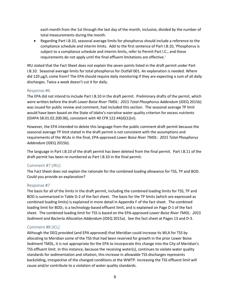each month from the 1st through the last day of the month, inclusive, divided by the number of total measurements during the month.

• Regarding Part I.B.10, seasonal average limits for phosphorus should include a reference to the compliance schedule and interim limits. Add to the first sentence of Part I.B.10, 'Phosphorus is subject to a compliance schedule and interim limits, refer to Permit Part l.C., and these requirements do not apply until the final effluent limitations are effective.'

IRU stated that the Fact Sheet does not explain the seven points listed in the draft permit under Part I.B.10. Seasonal average limits for total phosphorus for Outfall 001. An explanation is needed. Where did 120 μg/L come from? The EPA should require daily monitoring if they are expecting a sum of all daily discharges. Twice a week doesn't cut it for daily.

#### Response #6

The EPA did not intend to include Part I.B.10 in the draft permit. Preliminary drafts of the permit, which were written before the draft *Lower Boise River TMDL: 2015 Total Phosphorus Addendum* (IDEQ 2015b) was issued for public review and comment, had included this section. The seasonal average TP limit would have been based on the State of Idaho's narrative water quality criterion for excess nutrients (IDAPA 58.01.02.200.06), consistent with 40 CFR 122.44(d)(1)(vi).

However, the EPA intended to delete this language from the public comment draft permit because the seasonal average TP limit stated in the draft permit is not consistent with the assumptions and requirements of the WLAs in the final, EPA-approved *Lower Boise River TMDL: 2015 Total Phosphorus Addendum* (IDEQ 2015b).

The language in Part I.B.10 of the draft permit has been deleted from the final permit. Part I.B.11 of the draft permit has been re-numbered as Part I.B.10 in the final permit.

#### Comment #7 (IRU)

The Fact Sheet does not explain the rationale for the combined loading allowance for TSS, TP and BOD. Could you provide an explanation?

#### Response #7

The basis for all of the limits in the draft permit, including the combined loading limits for TSS, TP and BOD is summarized in Table D-2 of the fact sheet. The basis for the TP limits (which are expressed as combined loading limits) is explained in more detail in Appendix F of the fact sheet. The combined loading limit for BOD<sub>5</sub> is a technology-based effluent limit, and is explained on Page D-1 of the fact sheet. The combined loading limit for TSS is based on the EPA-approved *Lower Boise River TMDL: 2015 Sediment and Bacteria Allocation Addendum* (IDEQ 2015a). See the fact sheet at Pages 13 and D-3.

#### Comment #8 (ICL)

Although the DEQ provided (and EPA approved) that Meridian could increase its WLA for TSS by allocating to Meridian some of the TSS that had been reserved for growth in the prior Lower Boise Sediment TMDL, it is not appropriate for the EPA to incorporate this change into the City of Meridian's TSS effluent limit. In this instance, because the receiving water(s), continues to violate water quality standards for sedimentation and siltation, this increase in allowable TSS discharges represents backsliding, irrespective of the changed conditions at the WWTP. Increasing the TSS effluent limit will cause and/or contribute to a violation of water quality standards.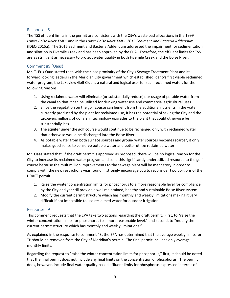#### Response #8

The TSS effluent limits in the permit are consistent with the City's wasteload allocations in the 1999 *Lower Boise River TMDL* and in the *Lower Boise River TMDL 2015 Sediment and Bacteria Addendum* (IDEQ 2015a). The 2015 Sediment and Bacteria Addendum addressed the impairment for sedimentation and siltation in Fivemile Creek and has been approved by the EPA. Therefore, the effluent limits for TSS are as stringent as necessary to protect water quality in both Fivemile Creek and the Boise River.

#### Comment #9 (Oaas)

Mr. T. Erik Oaas stated that, with the close proximity of the City's Sewage Treatment Plant and its forward looking leaders in the Meridian City government which established Idaho's first viable reclaimed water program, the Lakeview Golf Club is a natural and logical user for such reclaimed water, for the following reasons:

- 1. Using reclaimed water will eliminate (or substantially reduce) our usage of potable water from the canal so that it can be utilized for drinking water use and commercial agricultural uses.
- 2. Since the vegetation on the golf course can benefit from the additional nutrients in the water currently produced by the plant for reclaimed use, it has the potential of saving the City and the taxpayers millions of dollars in technology upgrades to the plant that could otherwise be substantially less.
- 3. The aquifer under the golf course would continue to be recharged only with reclaimed water that otherwise would be discharged into the Boise River.
- 4. As potable water from both surface sources and groundwater sources becomes scarcer, it only makes good sense to conserve potable water and better utilize reclaimed water.

Mr. Oaas stated that, if the draft permit is approved as proposed, there will be no logical reason for the City to increase its reclaimed water program and send this significantly underutilized resource to the golf course because the multimillion improvements to the sewage plant will be mandatory in order to comply with the new restrictions year round. I strongly encourage you to reconsider two portions of the DRAFT permit:

- 1. Raise the winter concentration limits for phosphorus to a more reasonable level for compliance by the City and yet still provide a well maintained, healthy and sustainable Boise River system.
- 2. Modify the current permit structure which has monthly and weekly limitations making it very difficult if not impossible to use reclaimed water for outdoor irrigation.

#### Response #9

This comment requests that the EPA take two actions regarding the draft permit. First, to "raise the winter concentration limits for phosphorus to a more reasonable level," and second, to "modify the current permit structure which has monthly and weekly limitations."

As explained in the response to comment #3, the EPA has determined that the average weekly limits for TP should be removed from the City of Meridian's permit. The final permit includes only average monthly limits.

Regarding the request to "raise the winter concentration limits for phosphorus," first, it should be noted that the final permit does not include any final limits on the concentration of phosphorus. The permit does, however, include final water quality-based effluent limits for phosphorus expressed in terms of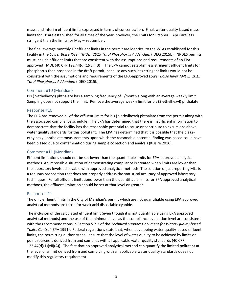mass, and interim effluent limits expressed in terms of concentration. Final, water quality-based mass limits for TP are established for all times of the year, however, the limits for October – April are less stringent than the limits for May – September.

The final average monthly TP effluent limits in the permit are identical to the WLAs established for this facility in the *Lower Boise River TMDL: 2015 Total Phosphorus Addendum* (IDEQ 2015b). NPDES permits must include effluent limits that are consistent with the assumptions and requirements of an EPAapproved TMDL (40 CFR 122.44(d)(1)(vii)(B)). The EPA cannot establish less stringent effluent limits for phosphorus than proposed in the draft permit, because any such less stringent limits would not be consistent with the assumptions and requirements of the EPA-approved *Lower Boise River TMDL: 2015 Total Phosphorus Addendum* (IDEQ 2015b)*.*

#### Comment #10 (Meridian)

Bis (2-ethylhexyl) phthalate has a sampling frequency of 1/month along with an average weekly limit. Sampling does not support the limit. Remove the average weekly limit for bis (2-ethylhexyl) phthalate.

#### Response #10

The EPA has removed all of the effluent limits for bis (2-ethylhexyl) phthalate from the permit along with the associated compliance schedule. The EPA has determined that there is insufficient information to demonstrate that the facility has the reasonable potential to cause or contribute to excursions above water quality standards for this pollutant. The EPA has determined that it is possible that the bis (2 ethylhexyl) phthalate measurements upon which the reasonable potential finding was based could have been biased due to contamination during sample collection and analysis (Kissire 2016).

#### Comment #11 (Meridian)

Effluent limitations should not be set lower than the quantifiable limits for EPA-approved analytical methods. An impossible situation of demonstrating compliance is created when limits are lower than the laboratory levels achievable with approved analytical methods. The solution of just reporting MLs is a tenuous proposition that does not properly address the statistical accuracy of approved laboratory techniques. For all effluent limitations lower than the quantifiable limits for EPA approved analytical methods, the effluent limitation should be set at that level or greater.

#### Response #11

The only effluent limits in the City of Meridian's permit which are not quantifiable using EPA approved analytical methods are those for weak acid dissociable cyanide.

The inclusion of the calculated effluent limit (even though it is not quantifiable using EPA approved analytical methods) and the use of the minimum level as the compliance evaluation level are consistent with the recommendations in Section 5.7.3 of the *Technical Support Document for Water Quality-based Toxics Control* (EPA 1991). Federal regulations state that, when developing water quality-based effluent limits, the permitting authority shall ensure that the level of water quality to be achieved by limits on point sources is derived from and complies with all applicable water quality standards (40 CFR  $122.44(d)(1)(vi)(A))$ . The fact that no approved analytical method can quantify the limited pollutant at the level of a limit derived from and complying with all applicable water quality standards does not modify this regulatory requirement.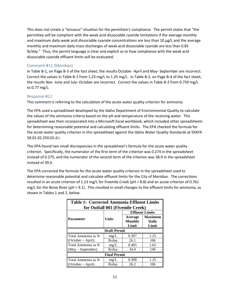This does not create a "tenuous" situation for the permittee's compliance. The permit states that "the permittee will be compliant with the weak acid dissociable cyanide limitations if the average monthly and maximum daily weak acid dissociable cyanide concentrations are less than 10 μg/L and the average monthly and maximum daily mass discharges of weak acid dissociable cyanide are less than 0.85 lb/day." Thus, the permit language is clear and explicit as to how compliance with the weak acid dissociable cyanide effluent limits will be evaluated.

#### Comment #12 (Meridian)

In Table B-1, on Page B-3 of the fact sheet, the results October -April and May- September are incorrect. Correct the values in Table B-1 from 1.23 mg/L to 1.25 mg/L. In Table B-2, on Page B-4 of the fact sheet, the results Nov -June and July- October are incorrect. Correct the values in Table B-2 from 0.759 mg/L to 0.77 mg/L.

#### Response #12

This comment is referring to the calculation of the acute water quality criterion for ammonia.

The EPA used a spreadsheet developed by the Idaho Department of Environmental Quality to calculate the values of the ammonia criteria based on the pH and temperature of the receiving water. This spreadsheet was then incorporated into a Microsoft Excel workbook, which included other spreadsheets for determining reasonable potential and calculating effluent limits. The EPA checked the formula for the acute water quality criterion in this spreadsheet against the Idaho Water Quality Standards at IDAPA 58.01.02.250.02.d.i.

The EPA found two small discrepancies in the spreadsheet's formula for the acute water quality criterion. Specifically, the numerator of the first term of the criterion was 0.274 in the spreadsheet instead of 0.275, and the numerator of the second term of the criterion was 38.9 in the spreadsheet instead of 39.0.

The EPA corrected the formula for the acute water quality criterion in the spreadsheet used to determine reasonable potential and calculate effluent limits for the City of Meridian. The corrections resulted in an acute criterion of 1.23 mg/L for Fivemile Creek (pH = 8.8) and an acute criterion of 0.761 mg/L for the Boise River (pH = 9.1). This resulted in small changes to the effluent limits for ammonia, as shown in Tables 1 and 2, below.

| <b>Table 1: Corrected Ammonia Effluent Limits</b> |                                  |                |                |  |  |  |  |
|---------------------------------------------------|----------------------------------|----------------|----------------|--|--|--|--|
|                                                   | for Outfall 001 (Fivemile Creek) |                |                |  |  |  |  |
|                                                   | <b>Effluent Limits</b>           |                |                |  |  |  |  |
| Parameter                                         | <b>Units</b>                     | Average        | <b>Maximum</b> |  |  |  |  |
|                                                   |                                  | <b>Monthly</b> | Daily          |  |  |  |  |
|                                                   |                                  | Limit          | Limit          |  |  |  |  |
|                                                   | <b>Draft Permit</b>              |                |                |  |  |  |  |
| Total Ammonia as N                                | mg/L                             | 0.307          | 1.25           |  |  |  |  |
| (October – April)                                 | lb/day                           | 26.1           | 106            |  |  |  |  |
| Total Ammonia as N                                | mg/L                             | 0.405          | 1.65           |  |  |  |  |
| (May – September)                                 | lb/day                           | 34.4           | 140            |  |  |  |  |
| <b>Final Permit</b>                               |                                  |                |                |  |  |  |  |
| Total Ammonia as N                                | mg/L                             | 0.308          | 1.25           |  |  |  |  |
| (October – April)                                 | lb/day                           | 26.2           | 106            |  |  |  |  |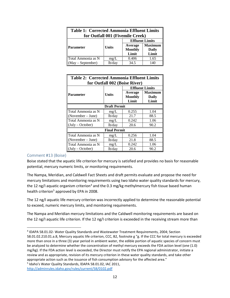| <b>Table 1: Corrected Ammonia Effluent Limits</b><br>for Outfall 001 (Fivemile Creek) |                |                        |                |  |
|---------------------------------------------------------------------------------------|----------------|------------------------|----------------|--|
|                                                                                       |                | <b>Effluent Limits</b> |                |  |
| <b>Parameter</b>                                                                      | <b>Units</b>   | Average                | <b>Maximum</b> |  |
|                                                                                       | <b>Monthly</b> |                        | <b>Daily</b>   |  |
|                                                                                       |                | Limit                  | Limit          |  |
| Total Ammonia as N                                                                    | mg/L           | $0.40\overline{6}$     | 1.65           |  |
| (May – September)                                                                     | lb/day         | 34.5                   | 140            |  |

| <b>Table 2: Corrected Ammonia Effluent Limits</b> |        |                                    |                                  |  |  |  |
|---------------------------------------------------|--------|------------------------------------|----------------------------------|--|--|--|
| for Outfall 002 (Boise River)                     |        |                                    |                                  |  |  |  |
| <b>Effluent Limits</b>                            |        |                                    |                                  |  |  |  |
| Parameter                                         | Units  | Average<br><b>Monthly</b><br>Limit | <b>Maximum</b><br>Daily<br>Limit |  |  |  |
| <b>Draft Permit</b>                               |        |                                    |                                  |  |  |  |
| Total Ammonia as N                                | mg/L   | 0.255                              | 1.04                             |  |  |  |
| (November – June)                                 | lb/day | 21.7                               | 88.5                             |  |  |  |
| Total Ammonia as N                                | mg/L   | 0.242                              | 1.06                             |  |  |  |
| (July – October)                                  | lb/day | 20.6                               | 90.2                             |  |  |  |
| <b>Final Permit</b>                               |        |                                    |                                  |  |  |  |
| Total Ammonia as N                                | mg/L   | 0.256                              | 1.04                             |  |  |  |
| (November – June)                                 | lb/day | 21.8                               | 88.5                             |  |  |  |
| Total Ammonia as N                                | mg/L   | 0.242                              | 1.06                             |  |  |  |
| $(July - October)$                                | lb/day | 20.6                               | 90.2                             |  |  |  |

#### Comment #13 (Boise)

 $\overline{\phantom{a}}$ 

Boise stated that the aquatic life criterion for mercury is satisfied and provides no basis for reasonable potential, mercury numeric limits, or monitoring requirements.

The Nampa, Meridian, and Caldwell Fact Sheets and draft permits evaluate and propose the need for mercury limitations and monitoring requirements using two Idaho water quality standards for mercury, the 12 ng/I aquatic organism criterion<sup>[4](#page-13-0)</sup> and the 0.3 mg/kg methylmercury fish tissue based human health criterion<sup>[5](#page-13-1)</sup> approved by EPA in 2008.

The 12 ng/I aquatic life mercury criterion was incorrectly applied to determine the reasonable potential to exceed, numeric mercury limits, and monitoring requirements.

The Nampa and Meridian mercury limitations and the Caldwell monitoring requirements are based on the 12 ng/I aquatic life criterion. If the 12 ng/I criterion is exceeded in the receiving stream more than

<span id="page-13-1"></span><sup>5</sup> Idaho's Water Quality Standards, lDAPA 58.01.02, IAC 2011,

<span id="page-13-0"></span><sup>4</sup> IDAPA 58.01.02- Water Quality Standards and Wastewater Treatment Requirements, 2004; Section 58.01.02.210.01.a.8, Mercury aquatic life criterion, CCC, B2, footnote g "g. If the CCC for total mercury is exceeded more than once in a three (3) year period in ambient water, the edible portion of aquatic species of concern must be analyzed to determine whether the concentration of methyl mercury exceeds the FDA action level (one (1.0) mg/kg). If the FDA action level is exceeded, the Director must notify the EPA regional administrator, initiate a review and as appropriate, revision of its mercury criterion in these water quality standards, and take other appropriate action such as the issuance of fish consumption advisory for the affected area."

<http://adminrules.idaho.gov/rules/current/58/0102.pdf>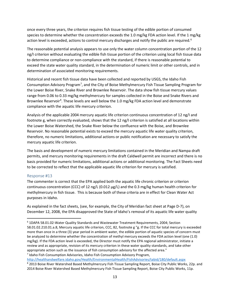once every three years, the criterion requires fish tissue testing of the edible portion of consumed species to determine whether the concentration exceeds the 1.0 mg/kg FDA action level. If the 1 mg/kg action level is exceeded, actions to control mercury discharges and notify the public are required.<sup>[6](#page-14-0)</sup>

The reasonable potential analysis appears to use only the water column concentration portion of the 12 ng/I criterion without evaluating the edible fish tissue portion of the criterion using local fish tissue data to determine compliance or non-compliance with the standard, if there is reasonable potential to exceed the state water quality standard, in the determination of numeric limit or other controls, and in determination of associated monitoring requirements.

Historical and recent fish tissue data have been collected and reported by USGS, the Idaho Fish Consumption Advisory Program<sup>[7](#page-14-1)</sup>, and the City of Boise Methylmercury Fish Tissue Sampling Program for the Lower Boise River, Snake River and Brownlee Reservoir. The data show fish tissue mercury values range from 0.06 to 0.33 mg/kg methylmercury for samples collected in the Boise and Snake Rivers and Brownlee Reservoir<sup>[8](#page-14-2)</sup>. These levels are well below the 1.0 mg/kg FDA action level and demonstrate compliance with the aquatic life mercury criterion.

Analysis of the applicable 2004 mercury aquatic life criterion continuous concentration of 12 ng/I and footnote g, when correctly evaluated, shows that the 12 ng/I criterion is satisfied at all locations within the Lower Boise Watershed, the Snake River below the confluence with the Boise, and Brownlee Reservoir. No reasonable potential exists to exceed the mercury aquatic life water quality criterion, therefore, no numeric limitations, additional actions or public notification are necessary to satisfy the mercury aquatic life criterion.

The basis and development of numeric mercury limitations contained in the Meridian and Nampa draft permits, and mercury monitoring requirements in the draft Caldwell permit are incorrect and there is no basis provided for numeric limitations, additional actions or additional monitoring. The Fact Sheets need to be corrected to reflect that the applicable aquatic life criterion for mercury is satisfied.

#### Response #13

 $\overline{\phantom{a}}$ 

The commenter is correct that the EPA applied both the aquatic life chronic criterion or criterion continuous concentration (CCC) of 12 ng/L (0.012 μg/L) and the 0.3 mg/kg human health criterion for methylmercury in fish tissue. This is because both of these criteria are in effect for Clean Water Act purposes in Idaho.

As explained in the fact sheets, (see, for example, the City of Meridian fact sheet at Page D-7), on December 12, 2008, the EPA disapproved the State of Idaho's removal of its aquatic life water quality

<span id="page-14-1"></span>

<span id="page-14-2"></span><http://healthandwelfare.idaho.gov/Health/EnvironmentalHealth/FishAdvisories/tabid/180/default.aspx>8 2013 Boise River Watershed Based Methylmercury Fish Tissue Sampling Report, Boise City Public Works, 22p. and 2014 Boise River Watershed Based Methylmercury Fish Tissue Sampling Report, Boise City Public Works, 11p.

<span id="page-14-0"></span><sup>6</sup> 1DAPA 58.01.02-Water Quality Standards and Wastewater Treatment Requirements, 2004; Section 58.01.02.210.01.a.8, Mercury aquatic life criterion, CCC, 82, footnote g "g. If the CCC for total mercury is exceeded more than once in a three (3) year period in ambient water, the edible portion of aquatic species of concern must be analyzed to determine whether the concentration of methyl mercury exceeds the FDA action level (one (1.0) mg/kg). If the FDA action level is exceeded, the Director must notify the EPA regional administrator, initiate a review and as appropriate, revision of its mercury criterion in these water quality standards, and take other appropriate action such as the issuance of fish consumption advisory for the affected area." <sup>7</sup> Idaho Fish Consumption Advisories, Idaho Fish Consumption Advisory Program,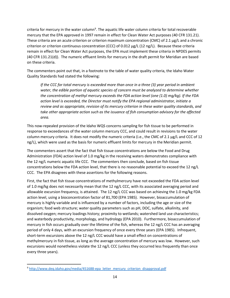criteria for mercury in the water column<sup>[9](#page-15-0)</sup>. The aquatic life water column criteria for total recoverable mercury that the EPA approved in 1997 remain in effect for Clean Water Act purposes (40 CFR 131.21). These criteria are an acute criterion or criterion maximum concentration (CMC) of 2.1 μg/L and a chronic criterion or criterion continuous concentration (CCC) of 0.012 μg/L (12 ng/L). Because these criteria remain in effect for Clean Water Act purposes, the EPA must implement these criteria in NPDES permits (40 CFR 131.21(d)). The numeric effluent limits for mercury in the draft permit for Meridian are based on these criteria.

The commenters point out that, in a footnote to the table of water quality criteria, the Idaho Water Quality Standards had stated the following:

*If the CCC for total mercury is exceeded more than once in a three (3) year period in ambient water, the edible portion of aquatic species of concern must be analyzed to determine whether the concentration of methyl mercury exceeds the FDA action level (one (1.0) mg/kg). If the FDA action level is exceeded, the Director must notify the EPA regional administrator, initiate a review and as appropriate, revision of its mercury criterion in these water quality standards, and take other appropriate action such as the issuance of fish consumption advisory for the affected area.*

This now-repealed provision of the Idaho WQS concerns sampling for fish tissue to be performed in response to exceedances of the water column mercury CCC, and could result in revisions to the water column mercury criteria. It does not modify the numeric criteria (i.e., the CMC of 2.1 μg/L and CCC of 12 ng/L), which were used as the basis for numeric effluent limits for mercury in the Meridian permit.

The commenters assert that the fact that fish tissue concentrations are below the Food and Drug Administration (FDA) action level of 1.0 mg/kg in the receiving waters demonstrates compliance with the 12 ng/L numeric aquatic life CCC. The commenters then conclude, based on fish tissue concentrations below the FDA action level, that there is no reasonable potential to exceed the 12 ng/L CCC. The EPA disagrees with these assertions for the following reasons.

First, the fact that fish tissue concentrations of methylmercury have not exceeded the FDA action level of 1.0 mg/kg does not necessarily mean that the 12 ng/L CCC, with its associated averaging period and allowable excursion frequency, is attained. The 12 ng/L CCC was based on achieving the 1.0 mg/kg FDA action level, using a bioconcentration factor of 81,700 (EPA 1985). However, bioaccumulation of mercury is highly variable and is influenced by a number of factors, including the age or size of the organism; food web structure; water quality parameters such as pH, DOC, sulfate, alkalinity, and dissolved oxygen; mercury loadings history; proximity to wetlands; watershed land use characteristics; and waterbody productivity, morphology, and hydrology (EPA 2010). Furthermore, bioaccumulation of mercury in fish occurs gradually over the lifetime of the fish, whereas the 12 ng/L CCC has an averaging period of only 4 days, with an excursion frequency of once every three years (EPA 1985). Infrequent, short-term excursions above the 12 ng/L CCC would have a small effect on concentrations of methylmercury in fish tissue, as long as the average concentration of mercury was low. However, such excursions would nonetheless violate the 12 ng/L CCC (unless they occurred less frequently than once every three years).

l

<span id="page-15-0"></span><sup>9</sup> http://www.deq.idaho.gov/media/451688-epa\_letter\_mercury\_criterion\_disapproval.pdf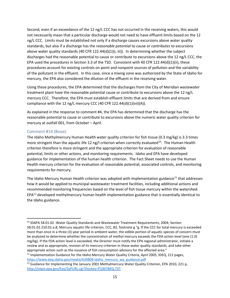Second, even if an exceedance of the 12 ng/L CCC has not occurred in the receiving waters, this would not necessarily mean that a particular discharge would not need to have effluent limits based on the 12 ng/L CCC. Limits must be established not only if a discharge *causes* excursions above water quality standards, but also if a discharge has the *reasonable potential* to cause or *contributes* to excursions above water quality standards (40 CFR 122.44(d)(1)(i, iii)). In determining whether the subject discharges had the reasonable potential to cause or contribute to excursions above the 12 ng/L CCC, the EPA used the procedures in Section 3.3 of the TSD. Consistent with 40 CFR 122.44(d)(1)(ii), these procedures account for existing controls on point and nonpoint sources of pollution and the variability of the pollutant in the effluent. In this case, since a mixing zone was authorized by the State of Idaho for mercury, the EPA also considered the dilution of the effluent in the receiving water.

Using these procedures, the EPA determined that the discharges from the City of Meridian wastewater treatment plant have the reasonable potential cause or contribute to excursions above the 12 ng/L mercury CCC. Therefore, the EPA must establish effluent limits that are derived from and ensure compliance with the 12 ng/L mercury CCC (40 CFR 122.44(d)(1)(vii)(A)).

As explained in the response to comment #4, the EPA has determined that the discharge has the reasonable potential to cause or contribute to excursions above the numeric water quality criterion for mercury at outfall 001, from October – April.

#### Comment #14 (Boise)

 $\overline{\phantom{a}}$ 

The Idaho Methylmercury Human Health water quality criterion for fish tissue (0.3 mg/kg) is 3.3 times more stringent than the aquatic life 12 ng/I criterion when correctly evaluated<sup>[10](#page-16-0)</sup>. The Human Health criterion therefore is more stringent and the appropriate criterion for evaluation of reasonable potential, limits or other actions, and monitoring requirements. Idaho and EPA have developed guidance for implementation of the human health criterion. The Fact Sheet needs to use the Human Health mercury criterion for the evaluation of reasonable potential, associated controls, and monitoring requirements for mercury.

The Idaho Mercury Human Health criterion was adopted with implementation guidance<sup>[11](#page-16-1)</sup> that addresses how it would be applied to municipal wastewater treatment facilities, including additional actions and recommended monitoring frequencies based on the level of fish tissue mercury within the watershed. EPA<sup>[12](#page-16-2)</sup> developed methylmercury human health implementation guidance that is essentially identical to the Idaho guidance.

<span id="page-16-0"></span><sup>10</sup> IDAPA 58.01.02 -Water Quality Standards and Wastewater Treatment Requirements, 2004; Section 58.01.02.210.01.a.8, Mercury aquatic life criterion, CCC, B2, footnote g "g. lf the CCC for total mercury is exceeded more than once in a three (3) year period in ambient water, the edible portion of aquatic species of concern must be analyzed to determine whether the concentration of methyl mercury exceeds the FDA action level (one (1.0) mg/kg). If the FDA action level is exceeded, the Director must notify the EPA regional administrator, initiate a review and as appropriate, revision of its mercury criterion in these water quality standards, and take other appropriate action such as the issuance of fish consumption advisory for the affected area."

<span id="page-16-1"></span><sup>&</sup>lt;sup>11</sup> Implementation Guidance for the Idaho Mercury Water Quality Criteria, April 2005, IDEQ, 212 pages, https://www.deq.idaho.gov/media/639808-idaho\_mercury\_wq\_guidance.pdf<br><sup>12</sup> Guidance for Implementing the January 2001 Methylmercury Water Quality Criterion, EPA 2010, 221 p,

<span id="page-16-2"></span><http://nepis.epa.gov/Exe/ZyPURL.cgi?Dockey=P1007BKQ.TXT>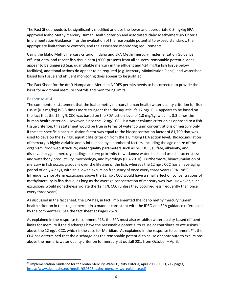The Fact Sheet needs to be significantly modified and use the lower and appropriate 0.3 mg/kg EPA approved Idaho Methylmercury Human Health criterion and associated Idaho Methylmercury Criteria Implementation Guidance<sup>[13](#page-17-0)</sup> for the evaluation of the reasonable potential to exceed standards, the appropriate limitations or controls, and the associated monitoring requirements.

Using the Idaho Methylmercury criterion, Idaho and EPA Methylmercury Implementation Guidance, effluent data, and recent fish tissue data (2000-present) from all sources, reasonable potential does appear to be triggered (e.g. quantifiable mercury in the effluent and >24 mg/kg fish tissue below facilities), additional actions do appear to be required (e.g. Mercury Minimization Plans), and watershed based fish tissue and effluent monitoring does appear to be justified.

The Fact Sheet for the draft Nampa and Meridian NPDES permits needs to be corrected to provide the basis for additional mercury controls and monitoring limits.

# Response #14

 $\overline{\phantom{a}}$ 

The commenters' statement that the Idaho methylmercury human health water quality criterion for fish tissue (0.3 mg/kg) is 3.3 times more stringent than the aquatic life 12 ng/I CCC appears to be based on the fact that the 12 ng/L CCC was based on the FDA action level of 1.0 mg/kg, which is 3.3 times the human health criterion. However, since the 12 ng/L CCC is a water column criterion as opposed to a fish tissue criterion, this statement would be true in terms of water column concentrations of mercury only if the site-specific bioaccumulation factor was equal to the bioconcentration factor of 81,700 that was used to develop the 12 ng/L aquatic life criterion from the 1.0 mg/kg FDA action level. Bioaccumulation of mercury is highly variable and is influenced by a number of factors, including the age or size of the organism; food web structure; water quality parameters such as pH, DOC, sulfate, alkalinity, and dissolved oxygen; mercury loadings history; proximity to wetlands; watershed land use characteristics; and waterbody productivity, morphology, and hydrology (EPA 2010). Furthermore, bioaccumulation of mercury in fish occurs gradually over the lifetime of the fish, whereas the 12 ng/L CCC has an averaging period of only 4 days, with an allowed excursion frequency of once every three years (EPA 1985). Infrequent, short-term excursions above the 12 ng/L CCC would have a small effect on concentrations of methylmercury in fish tissue, as long as the average concentration of mercury was low. However, such excursions would nonetheless violate the 12 ng/L CCC (unless they occurred less frequently than once every three years).

As discussed in the fact sheet, the EPA has, in fact, implemented the Idaho methylmercury human health criterion in the subject permit in a manner consistent with the IDEQ and EPA guidance referenced by the commenters. See the fact sheet at Pages 25-26.

As explained in the response to comment #13, the EPA must also establish water quality-based effluent limits for mercury if the discharges have the reasonable potential to cause or contribute to excursions above the 12 ng/L CCC, which is the case for Meridian. As explained in the response to comment #4, the EPA has determined that the discharge has the reasonable potential to cause or contribute to excursions above the numeric water quality criterion for mercury at outfall 001, from October – April.

<span id="page-17-0"></span><sup>&</sup>lt;sup>13</sup> Implementation Guidance for the Idaho Mercury Water Quality Criteria, April 2005, IDEQ, 212 pages, [https://www.deq.idaho.gov/media/639808-idaho\\_mercury\\_wq\\_guidance.pdf](https://www.deq.idaho.gov/media/639808-idaho_mercury_wq_guidance.pdf)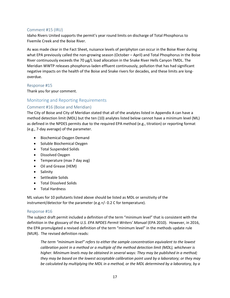#### Comment #15 (IRU)

Idaho Rivers United supports the permit's year round limits on discharge of Total Phosphorus to Fivemile Creek and the Boise River.

As was made clear in the Fact Sheet, nuisance levels of periphyton can occur in the Boise River during what EPA previously called the non-growing season (October – April) and Total Phosphorus in the Boise River continuously exceeds the 70 μg/L load allocation in the Snake River Hells Canyon TMDL. The Meridian WWTP releases phosphorus-laden effluent continuously, pollution that has had significant negative impacts on the health of the Boise and Snake rivers for decades, and these limits are longoverdue.

#### Response #15

Thank you for your comment.

# <span id="page-18-0"></span>Monitoring and Reporting Requirements

# Comment #16 (Boise and Meridian)

The City of Boise and City of Meridian stated that all of the analytes listed in Appendix A can have a method detection limit (MDL) but the ten (10) analytes listed below cannot have a minimum level (ML) as defined in the NPDES permits due to the required EPA method (e.g., titration) or reporting format (e.g., 7-day average) of the parameter.

- Biochemical Oxygen Demand
- Soluble Biochemical Oxygen
- Total Suspended Solids
- Dissolved Oxygen
- Temperature (max 7 day avg)
- Oil and Grease (HEM)
- Salinity
- Settleable Solids
- Total Dissolved Solids
- Total Hardness

ML values for 10 pollutants listed above should be listed as MDL or sensitivity of the instrument/detector for the parameter (e.g.+/- 0.2 C for temperature).

#### Response #16

The subject draft permit included a definition of the term "minimum level" that is consistent with the definition in the glossary of the *U.S. EPA NPDES Permit Writers' Manual* (EPA 2010). However, in 2016, the EPA promulgated a revised definition of the term "minimum level" in the methods update rule (MUR). The revised definition reads:

*The term "minimum level" refers to either the sample concentration equivalent to the lowest calibration point in a method or a multiple of the method detection limit (MDL), whichever is higher. Minimum levels may be obtained in several ways: They may be published in a method; they may be based on the lowest acceptable calibration point used by a laboratory; or they may be calculated by multiplying the MDL in a method, or the MDL determined by a laboratory, by a*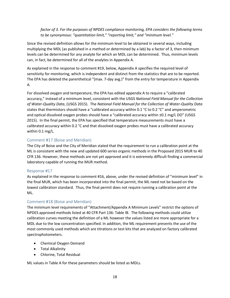*factor of 3. For the purposes of NPDES compliance monitoring, EPA considers the following terms to be synonymous: "quantitation limit," "reporting limit," and "minimum level."*

Since the revised definition allows for the minimum level to be obtained in several ways, including multiplying the MDL (as published in a method or determined by a lab) by a factor of 3, then minimum levels can be determined for any analyte for which an MDL can be determined. Thus, minimum levels can, in fact, be determined for all of the analytes in Appendix A.

As explained in the response to comment #19, below, Appendix A specifies the required level of sensitivity for monitoring, which is independent and distinct from the statistics that are to be reported. The EPA has deleted the parenthetical "(max. 7-day avg.)" from the entry for temperature in Appendix A.

For dissolved oxygen and temperature, the EPA has edited appendix A to require a "calibrated accuracy," instead of a minimum level, consistent with the USGS *National Field Manual for the Collection of Water-Quality Data*, (USGS 2015). The *National Field Manual for the Collection of Water-Quality Data* states that thermistors should have a "calibrated accuracy within 0.1 °C to 0.2 °C" and amperometric and optical dissolved oxygen probes should have a "calibrated accuracy within ±0.1 mg/L DO" (USGS 2015). In the final permit, the EPA has specified that temperature measurements must have a calibrated accuracy within 0.2 °C and that dissolved oxygen probes must have a calibrated accuracy within 0.1 mg/L.

#### Comment #17 (Boise and Meridian)

The City of Boise and the City of Meridian stated that the requirement to run a calibration point at the ML is consistent with the new and updated 600 series organic methods in the Proposed 2015 MUR to 40 CFR 136. However, these methods are not yet approved and it is extremely difficult finding a commercial laboratory capable of running the MUR method.

#### Response #17

As explained in the response to comment #16, above, under the revised definition of "minimum level" in the final MUR, which has been incorporated into the final permit, the ML need not be based on the lowest calibration standard. Thus, the final permit does not require running a calibration point at the ML.

#### Comment #18 (Boise and Meridian)

The minimum level requirements of "Attachment/Appendix A Minimum Levels" restrict the options of NPDES approved methods listed at 40 CFR Part 136: Table IB. The following methods could utilize calibration curves meeting the definition of a ML however the values listed are more appropriate for a MDL due to the low concentration specified. In addition, the ML requirement prevents the use of the most commonly used methods which are titrations or test kits that are analyzed on factory calibrated spectrophotometers.

- Chemical Oxygen Demand
- Total Alkalinity
- Chlorine, Total Residual

ML values in Table A for these parameters should be listed as MDLs.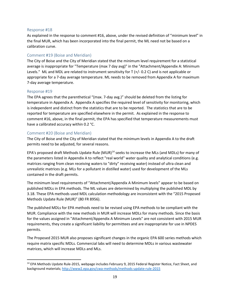#### Response #18

As explained in the response to comment #16, above, under the revised definition of "minimum level" in the final MUR, which has been incorporated into the final permit, the ML need not be based on a calibration curve.

#### Comment #19 (Boise and Meridian)

The City of Boise and the City of Meridian stated that the minimum level requirement for a statistical average is inappropriate for "Temperature (max 7 day avg)" in the "Attachment/Appendix A: Minimum Levels." ML and MDL are related to instrument sensitivity for T (+/- 0.2 C) and is not applicable or appropriate for a 7-day average temperature. ML needs to be removed from Appendix A for maximum 7-day average temperature.

#### Response #19

 $\overline{\phantom{a}}$ 

The EPA agrees that the parenthetical "(max. 7-day avg.)" should be deleted from the listing for temperature in Appendix A. Appendix A specifies the required level of sensitivity for monitoring, which is independent and distinct from the statistics that are to be reported. The statistics that are to be reported for temperature are specified elsewhere in the permit. As explained in the response to comment #16, above, in the final permit, the EPA has specified that temperature measurements must have a calibrated accuracy within 0.2 °C.

#### Comment #20 (Boise and Meridian)

The City of Boise and the City of Meridian stated that the minimum levels in Appendix A to the draft permits need to be adjusted, for several reasons.

EPA's proposed draft Methods Update Rule  $(MUR)^{14}$  $(MUR)^{14}$  $(MUR)^{14}$  seeks to increase the MLs (and MDLs) for many of the parameters listed in Appendix A to reflect "real world" water quality and analytical conditions (e.g. matrices ranging from clean receiving waters to "dirty" receiving water) instead of ultra clean and unrealistic matrices (e.g. MLs for a pollutant in distilled water) used for development of the MLs contained in the draft permits.

The minimum level requirements of "Attachment/Appendix A Minimum levels" appear to be based on published MDLs in EPA methods. The ML values are determined by multiplying the published MDL by 3.18. These EPA methods used MDL calculation methodology are inconsistent with the "2015 Proposed Methods Update Rule (MUR)" (80 FR 8956).

The published MDLs for EPA methods need to be revised using EPA methods to be compliant with the MUR. Compliance with the new methods in MUR will increase MDLs for many methods. Since the basis for the values assigned in "Attachment/Appendix A Minimum Levels" are not consistent with 2015 MUR requirements, they create a significant liability for permittees and are inappropriate for use in NPDES permits.

The Proposed 2015 MUR also proposes significant changes in the organic EPA 600 series methods which require matrix specific MDLs. Commercial labs will need to determine MDLs in various wastewater matrices, which will increase MDLs and MLs.

<span id="page-20-0"></span><sup>&</sup>lt;sup>14</sup> EPA Methods Update Rule-2015, webpage includes February 9, 2015 Federal Register Notice, Fact Sheet, and background materials;<http://www2.epa.gov/cwa-methods/methods-update-rule-2015>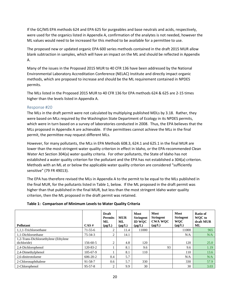If the GC/MS EPA methods 624 and EPA 625 for purgeables and base neutrals and acids, respectively, were used for the organics listed in Appendix A, confirmation of the analytes is not needed, however the ML values would need to be increased for this method to be available for a permittee to use.

The proposed new or updated organic EPA 600 series methods contained in the draft 2015 MUR allow blank subtraction in samples, which will have an impact on the ML and should be reflected in Appendix A.

Many of the issues in the Proposed 2015 MUR to 40 CFR 136 have been addressed by the National Environmental Laboratory Accreditation Conference (NELAC) Institute and directly impact organic methods, which are proposed to increase and should be the ML requirement contained in NPDES permits.

The MLs listed in the Proposed 2015 MUR to 40 CFR 136 for EPA methods 624 & 625 are 2-15 times higher than the levels listed in Appendix A.

#### Response #20

The MLs in the draft permit were not calculated by multiplying published MDLs by 3.18. Rather, they were based on MLs required by the Washington State Department of Ecology in its NPDES permits, which were in turn based on a survey of laboratories conducted in 2008. Thus, the EPA believes that the MLs proposed in Appendix A are achievable. If the permittees cannot achieve the MLs in the final permit, the permittee may request different MLs.

However, for many pollutants, the MLs in EPA Methods 608.3, 624.1 and 625.1 in the final MUR are lower than the most-stringent water quality criterion in effect in Idaho, or the EPA-recommended Clean Water Act Section 304(a) water quality criteria. For other pollutants, the State of Idaho has not established a water quality criterion for the pollutant and the EPA has not established a 304(a) criterion. Methods with an ML at or below the applicable water quality criterion are considered "sufficiently sensitive" (79 FR 49013).

The EPA has therefore revised the MLs in Appendix A to the permit to be equal to the MLs published in the final MUR, for the pollutants listed in Table 1, below. If the ML proposed in the draft permit was higher than that published in the final MUR, but less than the most stringent Idaho water quality criterion, then the ML proposed in the draft permit was retained.

| Pollutant                             | CAS#           | <b>Draft</b><br><b>Permits</b><br>ML<br>$(\mu g/L)$ | <b>MUR</b><br>ML<br>$(\mu g/L)$ | <b>Most</b><br><b>Stringent</b><br><b>ID WOC</b><br>$(\mu g/L)$ | Most<br><b>Stringent</b><br><b>CWA WOC</b><br>$(\mu g/L)$ | <b>Most</b><br><b>Stringent</b><br><b>WQC</b><br>$(\mu g/L)$ | Ratio of<br><b>WOC</b> to<br>draft MUR<br>ML |
|---------------------------------------|----------------|-----------------------------------------------------|---------------------------------|-----------------------------------------------------------------|-----------------------------------------------------------|--------------------------------------------------------------|----------------------------------------------|
| 1,1,1-Trichloroethane                 | $71 - 55 - 6$  | 2                                                   | 11.4                            | 11000                                                           |                                                           | 11000                                                        | 965                                          |
| 1.1-Dichloroethane                    | $75 - 34 - 3$  | 2                                                   | 14.1                            |                                                                 |                                                           | N/A                                                          | N/A                                          |
| 1,2-Trans-Dichloroethylene (Ethylene) |                |                                                     |                                 |                                                                 |                                                           |                                                              |                                              |
| dichloride)                           | 156-60-5       | 2                                                   | 4.8                             | 120                                                             |                                                           | 120                                                          | 25.0                                         |
| 2,4-Dichlorophenol                    | 120-83-2       |                                                     | 8.1                             | 9.6                                                             | 93                                                        | 9.6                                                          | 1.19                                         |
| 2,4-Dimethylphenol                    | $105 - 67 - 9$ |                                                     | 8.1                             | 110                                                             |                                                           | 110                                                          | 13.6                                         |
| 2.6-dinitrotoluene                    | $606 - 20 - 2$ | 0.4                                                 | 5.7                             |                                                                 |                                                           | N/A                                                          | N/A                                          |
| 2-Chloronaphthalene                   | 91-58-7        | 0.6                                                 | 5.7                             | 330                                                             |                                                           | 330                                                          | 57.9                                         |
| 2-Chlorophenol                        | $95 - 57 - 8$  | 2                                                   | 9.9                             | 30                                                              |                                                           | 30                                                           | 3.03                                         |

#### **Table 1: Comparison of Minimum Levels to Water Quality Criteria**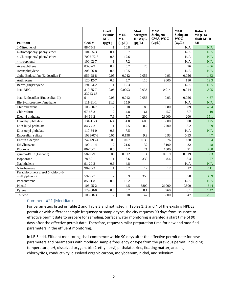| Pollutant                                           | CAS#           | <b>Draft</b><br><b>Permits</b><br><b>ML</b><br>$(\mu g/L)$ | <b>MUR</b><br><b>ML</b><br>$(\mu g/L)$ | <b>Most</b><br><b>Stringent</b><br><b>ID WQC</b><br>$(\mu g/L)$ | <b>Most</b><br><b>Stringent</b><br><b>CWA WQC</b><br>$(\mu g/L)$ | Most<br><b>Stringent</b><br><b>WQC</b><br>$(\mu g/L)$ | Ratio of<br><b>WQC</b> to<br>draft MUR<br><b>ML</b> |
|-----------------------------------------------------|----------------|------------------------------------------------------------|----------------------------------------|-----------------------------------------------------------------|------------------------------------------------------------------|-------------------------------------------------------|-----------------------------------------------------|
| 2-Nitrophenol                                       | 88-75-5        | 1                                                          | 10.8                                   |                                                                 |                                                                  | N/A                                                   | N/A                                                 |
| 4-Bromophenyl phenyl ether                          | $101 - 55 - 3$ | 0.4                                                        | 5.7                                    |                                                                 |                                                                  | N/A                                                   | N/A                                                 |
| 4-Chlorophenyl phenyl ether                         | 7005-72-3      | 0.5                                                        | 12.6                                   |                                                                 |                                                                  | N/A                                                   | N/A                                                 |
| 4-nitrophenol                                       | $100-02-7$     | 1                                                          | 7.2                                    |                                                                 |                                                                  | N/A                                                   | N/A                                                 |
| Acenaphthene                                        | 83-32-9        | 0.4                                                        | 5.7                                    | 26                                                              |                                                                  | 26                                                    | 4.56                                                |
| Acenaphthylene                                      | 208-96-8       | 0.6                                                        | 10.5                                   |                                                                 |                                                                  | N/A                                                   | N/A                                                 |
| alpha-Endosulfan (Endosulfan I)                     | 959-98-8       | 0.05                                                       | 0.042                                  | 0.056                                                           | 0.93                                                             | 0.056                                                 | 1.33                                                |
| Anthracene                                          | 120-12-7       | 0.6                                                        | 5.7                                    | 110                                                             | 9600                                                             | 110                                                   | 19.3                                                |
| Benzo(ghi)Perylene                                  | 191-24-2       | $\mathbf{1}$                                               | 12.3                                   |                                                                 |                                                                  | N/A                                                   | N/A                                                 |
| beta-BHC                                            | 319-85-7       | 0.05                                                       | 0.0093                                 | 0.036                                                           | 0.014                                                            | 0.014                                                 | 1.505                                               |
| beta-Endosulfan (Endosulfan II)                     | 33213-65-<br>9 | 0.05                                                       | 0.012                                  | 0.056                                                           | 0.93                                                             | 0.056                                                 | 4.67                                                |
| Bis(2-chloroethoxy)methane                          | 111-91-1       | 21.2                                                       | 15.9                                   |                                                                 |                                                                  | N/A                                                   | N/A                                                 |
| Chlorobenzene                                       | 108-90-7       | $\mathfrak{2}$                                             | 18                                     | 89                                                              | 680                                                              | 89                                                    | 4.94                                                |
| Chloroform                                          | $67 - 66 - 3$  | $\overline{c}$                                             | 4.8                                    | 61                                                              | 5.7                                                              | 5.7                                                   | 1.19                                                |
| Diethyl phthalate                                   | 84-66-2        | 7.6                                                        | 5.7                                    | 200                                                             | 23000                                                            | 200                                                   | 35.1                                                |
| Dimethyl phthalate                                  | $131 - 11 - 3$ | 6.4                                                        | 4.8                                    | 600                                                             | 313000                                                           | 600                                                   | 125                                                 |
| Di-n-butyl phthalate                                | 84-74-2        | 1                                                          | 7.5                                    | 8.2                                                             | 2700                                                             | 8.2                                                   | 1.09                                                |
| Di-n-octyl phthalate                                | 117-84-0       | 0.6                                                        | 7.5                                    |                                                                 |                                                                  | N/A                                                   | N/A                                                 |
| Endosulfan sulfate                                  | 1031-07-8      | 0.05                                                       | 0.198                                  | 9.9                                                             | 0.93                                                             | 0.93                                                  | 4.7                                                 |
| Endrin aldehyde                                     | 7421-93-4      | 0.05                                                       | 0.07                                   | 0.38                                                            | 0.76                                                             | 0.38                                                  | 5.4                                                 |
| Ethylbenzene                                        | $100-41-4$     | $\mathbf{2}$                                               | 21.6                                   | 32                                                              | 3100                                                             | 32                                                    | 1.48                                                |
| Fluorene                                            | 86-73-7        | 0.6                                                        | 5.7                                    | 21                                                              | 1300                                                             | 21                                                    | 3.68                                                |
| gamma-BHC (Lindane)                                 | 58-89-9        | 0.05                                                       | 0.012                                  | 1.4                                                             | 0.019                                                            | 0.019                                                 | 1.583                                               |
| Isophorone                                          | 78-59-1        | $\mathbf{1}$                                               | 6.6                                    | 330                                                             | 8.4                                                              | 8.4                                                   | 1.27                                                |
| Naphthalene                                         | $91 - 20 - 3$  | 0.6                                                        | 4.8                                    |                                                                 |                                                                  | N/A                                                   | N/A                                                 |
| Nitrobenzene                                        | 98-95-3        | 1                                                          | 5.7                                    | 12                                                              | 17                                                               | 12                                                    | 2.11                                                |
| Parachlorometa cresol (4-chloro-3-<br>methylphenol) | 59-50-7        | $\overline{c}$                                             | 9                                      | 350                                                             |                                                                  | 350                                                   | 38.9                                                |
| Phenanthrene                                        | $85-01-8$      | 0.6                                                        | 16.2                                   |                                                                 |                                                                  | N/A                                                   | N/A                                                 |
| Phenol                                              | 108-95-2       | $\overline{4}$                                             | 4.5                                    | 3800                                                            | 21000                                                            | 3800                                                  | 844                                                 |
| Pyrene                                              | 129-00-0       | 0.6                                                        | 5.7                                    | 8.1                                                             | 960                                                              | 8.1                                                   | 1.42                                                |
| Toluene                                             | 108-88-3       | $\overline{c}$                                             | 18                                     | 47                                                              | 6800                                                             | 47                                                    | 2.61                                                |

# Comment #21 (Meridian)

For parameters listed in Table 2 and Table 3 and not listed in Tables 1, 3 and 4 of the existing NPDES permit or with different sample frequency or sample type, the city requests 90 days from issuance to effective permit date to prepare for sampling. Surface water monitoring is granted a start time of 90 days after the effective permit date. Therefore, request similar preparation time for new and modified parameters in the effluent monitoring.

In l.B.5 add, Effluent monitoring shall commence within 90 days after the effective permit date for new parameters and parameters with modified sample frequency or type from the previous permit, including temperature, pH, dissolved oxygen, bis (2-ethylhexyl) phthalate, zinc, floating matter, arsenic, chlorpyrifos, conductivity, dissolved organic carbon, molybdenum, nickel, and selenium.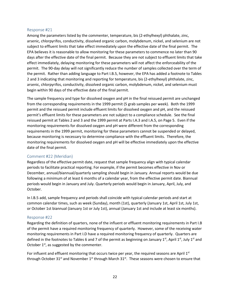#### Response #21

Among the parameters listed by the commenter, temperature, bis (2-ethylhexyl) phthalate, zinc, arsenic, chlorpyrifos, conductivity, dissolved organic carbon, molybdenum, nickel, and selenium are not subject to effluent limits that take effect immediately upon the effective date of the final permit. The EPA believes it is reasonable to allow monitoring for these parameters to commence no later than 90 days after the effective date of the final permit. Because they are not subject to effluent limits that take effect immediately, delaying monitoring for these parameters will not affect the enforceability of the permit. The 90-day delay will not significantly reduce the number of samples collected over the term of the permit. Rather than adding language to Part I.B.5, however, the EPA has added a footnote to Tables 2 and 3 indicating that monitoring and reporting for temperature, bis (2-ethylhexyl) phthalate, zinc, arsenic, chlorpyrifos, conductivity, dissolved organic carbon, molybdenum, nickel, and selenium must begin within 90 days of the effective date of the final permit.

The sample frequency and type for dissolved oxygen and pH in the final reissued permit are unchanged from the corresponding requirements in the 1999 permit (5 grab samples per week). Both the 1999 permit and the reissued permit include effluent limits for dissolved oxygen and pH, and the reissued permit's effluent limits for these parameters are not subject to a compliance schedule. See the final reissued permit at Tables 2 and 3 and the 1999 permit at Parts I.A.3 and I.A.5, on Page 5. Even if the monitoring requirements for dissolved oxygen and pH were different from the corresponding requirements in the 1999 permit, monitoring for these parameters cannot be suspended or delayed, because monitoring is necessary to determine compliance with the effluent limits. Therefore, the monitoring requirements for dissolved oxygen and pH will be effective immediately upon the effective date of the final permit.

#### Comment #22 (Meridian)

Regardless of the effective permit date, request that sample frequency align with typical calendar periods to facilitate practical reporting. For example, if the permit becomes effective in Nov or December, annual/biannual/quarterly sampling should begin in January. Annual reports would be due following a minimum of at least 6 months of a calendar year, from the effective permit date. Biannual periods would begin in January and July. Quarterly periods would begin in January, April, July, and October.

In l.B.5 add, sample frequency and periods shall coincide with typical calendar periods and start at common calendar times, such as week (Sunday), month (1st), quarterly (January 1st, April 1st, July 1st, or October 1st biannual (January 1st or July 1st), annual (January 1st and include at least six months).

#### Response #22

Regarding the definition of quarters, none of the influent or effluent monitoring requirements in Part I.B of the permit have a required monitoring frequency of quarterly. However, some of the receiving water monitoring requirements in Part I.D have a required monitoring frequency of quarterly. Quarters are defined in the footnotes to Tables 6 and 7 of the permit as beginning on January 1st, April 1st, July 1st and October  $1<sup>st</sup>$ , as suggested by the commenter.

For influent and effluent monitoring that occurs twice per year, the required seasons are April  $1<sup>st</sup>$ through October 31<sup>st</sup> and November 1<sup>st</sup> through March 31<sup>st</sup>. These seasons were chosen to ensure that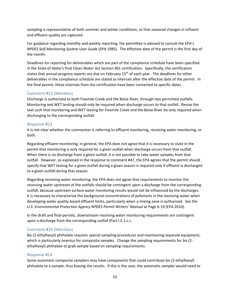sampling is representative of both summer and winter conditions, so that seasonal changes in influent and effluent quality are captured.

For guidance regarding monthly and weekly reporting, the permittee is advised to consult the EPA's *NPDES Self-Monitoring System User Guide* (EPA 1985). The effective date of the permit is the first day of the month.

Deadlines for reporting for deliverables which are part of the compliance schedule have been specified in the State of Idaho's final Clean Water Act Section 401 certification. Specifically, the certification states that annual progress reports are due on February  $15<sup>th</sup>$  of each year. The deadlines for other deliverables in the compliance schedule are stated as intervals after the effective date of the permit. In the final permit, these intervals from the certification have been converted to specific dates.

# Comment #23 (Meridian)

Discharge is authorized to both Fivemile Creek and the Boise River, through two permitted outfalls. Monitoring and WET testing should only be required when discharge occurs to that outfall. Revise the text such that monitoring and WET testing for Fivemile Creek and the Boise River be only required when discharging to the corresponding outfall.

#### Response #23

It is not clear whether the commenter is referring to effluent monitoring, receiving water monitoring, or both.

Regarding effluent monitoring, in general, the EPA does not agree that it is necessary to state in the permit that monitoring is only required for a given outfall when discharge occurs from that outfall. When there is no discharge from a given outfall, it is not possible to take water samples from that outfall. However, as explained in the response to comment #47, the EPA agrees that the permit should specify that WET testing for a given outfall during a given season is required only if effluent is discharged to a given outfall during that season.

Regarding receiving water monitoring, the EPA does not agree that requirements to monitor the receiving water upstream of the outfalls should be contingent upon a discharge from the corresponding outfall, because upstream surface water monitoring results would not be influenced by the discharges. It is necessary to characterize the background concentrations of pollutants in the receiving water when developing water quality-based effluent limits, particularly when a mixing zone is authorized. See the *U.S. Environmental Protection Agency NPDES Permit Writers' Manual* at Page 6-19 (EPA 2010).

In the draft and final permits, downstream receiving water monitoring requirements are contingent upon a discharge from the corresponding outfall (Part I.E.1.c.).

#### Comment #24 (Meridian)

Bis (2-ethylhexyl) phthalate requires special sampling procedures and maintaining separate equipment, which is particularly onerous for composite samples. Change the sampling requirements for bis (2 ethylhexyl) phthalate to grab sample based on sampling requirements.

#### Response #24

Some automatic composite samplers may have components that could contribute bis (2-ethylhexyl) phthalate to a sample, thus biasing the results. If this is the case, the automatic sampler would need to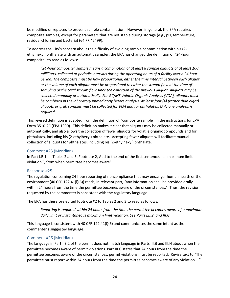be modified or replaced to prevent sample contamination. However, in general, the EPA requires composite samples, except for parameters that are not stable during storage (e.g., pH, temperature, residual chlorine and bacteria) (64 FR 42499).

To address the City's concern about the difficulty of avoiding sample contamination with bis (2 ethylhexyl) phthalate with an automatic sampler, the EPA has changed the definition of "24-hour composite" to read as follows:

*"24-hour composite" sample means a combination of at least 8 sample aliquots of at least 100 milliliters, collected at periodic intervals during the operating hours of a facility over a 24 hour period. The composite must be flow proportional; either the time interval between each aliquot or the volume of each aliquot must be proportional to either the stream flow at the time of sampling or the total stream flow since the collection of the previous aliquot. Aliquots may be collected manually or automatically. For GC/MS Volatile Organic Analysis (VOA), aliquots must*  be combined in the laboratory immediately before analysis. At least four (4) (rather than eight) *aliquots or grab samples must be collected for VOA and for phthalates. Only one analysis is required.*

This revised definition is adapted from the definition of "composite sample" in the instructions for EPA Form 3510-2C (EPA 1990). This definition makes it clear that aliquots may be collected manually or automatically, and also allows the collection of fewer aliquots for volatile organic compounds and for phthalates, including bis (2-ethylhexyl) phthalate. Accepting fewer aliquots will facilitate manual collection of aliquots for phthalates, including bis (2-ethylhexyl) phthalate.

#### Comment #25 (Meridian)

In Part I.B.1, in Tables 2 and 3, Footnote 2, Add to the end of the first sentence, " ... maximum limit violation'", from when permittee becomes aware'.

#### Response #25

The regulation concerning 24-hour reporting of noncompliance that may endanger human health or the environment (40 CFR 122.41(l)(6)) reads, in relevant part, "any information shall be provided orally within 24 hours from the time the permittee becomes aware of the circumstances." Thus, the revision requested by the commenter is consistent with the regulatory language.

The EPA has therefore edited footnote #2 to Tables 2 and 3 to read as follows:

*Reporting is required within 24 hours from the time the permittee becomes aware of a maximum daily limit or instantaneous maximum limit violation. See Parts I.B.2. and III.G.*

This language is consistent with 40 CFR 122.41(l)(6) and communicates the same intent as the commenter's suggested language.

#### Comment #26 (Meridian)

The language in Part I.B.2 of the permit does not match language in Parts III.B and III.H about when the permittee becomes aware of permit violations. Part III.G states that 24 hours from the time the permittee becomes aware of the circumstances, permit violations must be reported. Revise text to "The permittee must report within 24 hours from the time the permittee becomes aware of any violation...."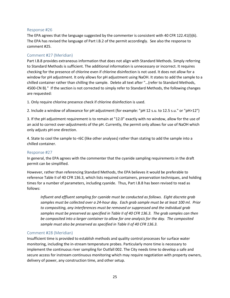#### Response #26

The EPA agrees that the language suggested by the commenter is consistent with 40 CFR 122.41(l)(6). The EPA has revised the language of Part I.B.2 of the permit accordingly. See also the response to comment #25.

#### Comment #27 (Meridian)

Part I.B.8 provides extraneous information that does not align with Standard Methods. Simply referring to Standard Methods is sufficient. The additional information is unnecessary or incorrect. It requires checking for the presence of chlorine even if chlorine disinfection is not used. It does not allow for a window for pH adjustment. It only allows for pH adjustment using NaOH. It states to add the sample to a chilled container rather than chilling the sample. Delete all text after "…(refer to Standard Methods, 4500-CN B)." If the section is not corrected to simply refer to Standard Methods, the following changes are requested:

1. Only require chlorine presence check if chlorine disinfection is used.

2. Include a window of allowance for pH adjustment (for example: "pH 12 s.u. to 12.5 s.u." or "pH>12")

3. If the pH adjustment requirement is to remain at "12.0" exactly with no window, allow for the use of an acid to correct over-adjustments of the pH. Currently, the permit only allows for use of NaOH which only adjusts pH one direction.

4. State to cool the sample to <6C (like other analyses) rather than stating to add the sample into a chilled container.

#### Response #27

In general, the EPA agrees with the commenter that the cyanide sampling requirements in the draft permit can be simplified.

However, rather than referencing Standard Methods, the EPA believes it would be preferable to reference Table II of 40 CFR 136.3, which lists required containers, preservation techniques, and holding times for a number of parameters, including cyanide. Thus, Part I.B.8 has been revised to read as follows:

*Influent and effluent sampling for cyanide must be conducted as follows. Eight discrete grab samples must be collected over a 24-hour day. Each grab sample must be at least 100 ml. Prior to compositing, any interferences must be removed or suppressed and the individual grab samples must be preserved as specified in Table II of 40 CFR 136.3. The grab samples can then be composited into a larger container to allow for one analysis for the day. The composited sample must also be preserved as specified in Table II of 40 CFR 136.3.*

#### Comment #28 (Meridian)

Insufficient time is provided to establish methods and quality control processes for surface water monitoring, including the in-stream temperature probes. Particularly more time is necessary to implement the continuous river sampling for Outfall 002. The City needs time to develop a safe and secure access for instream continuous monitoring which may require negotiation with property owners, delivery of power, any construction time, and other setup.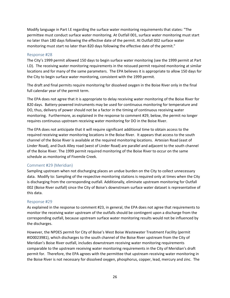Modify language in Part l.E regarding the surface water monitoring requirements that states: "The permittee must conduct surface water monitoring. At Outfall 001, surface water monitoring must start no later than 180 days following the effective date of the permit. At Outfall 002 surface water monitoring must start no later than 820 days following the effective date of the permit."

#### Response #28

The City's 1999 permit allowed 150 days to begin surface water monitoring (see the 1999 permit at Part I.D). The receiving water monitoring requirements in the reissued permit required monitoring at similar locations and for many of the same parameters. The EPA believes it is appropriate to allow 150 days for the City to begin surface water monitoring, consistent with the 1999 permit.

The draft and final permits require monitoring for dissolved oxygen in the Boise River only in the final full calendar year of the permit term.

The EPA does not agree that it is appropriate to delay receiving water monitoring of the Boise River for 820 days. Battery-powered instruments may be used for continuous monitoring for temperature and DO, thus, delivery of power should not be a factor in the timing of continuous receiving water monitoring. Furthermore, as explained in the response to comment #29, below, the permit no longer requires continuous upstream receiving water monitoring for DO in the Boise River.

The EPA does not anticipate that it will require significant additional time to obtain access to the required receiving water monitoring locations in the Boise River. It appears that access to the south channel of the Boise River is available at the required monitoring locations. Artesian Road (east of Linder Road), and Duck Alley road (west of Linder Road) are parallel and adjacent to the south channel of the Boise River. The 1999 permit required monitoring of the Boise River to occur on the same schedule as monitoring of Fivemile Creek.

#### Comment #29 (Meridian)

Sampling upstream when not discharging places an undue burden on the City to collect unnecessary data. Modify to: Sampling of the respective monitoring stations is required only at times when the City is discharging from the corresponding outfall. Additionally, eliminate upstream monitoring for Outfall 002 (Boise River outfall) since the City of Boise's downstream surface water dataset is representative of this data.

#### Response #29

As explained in the response to comment #23, in general, the EPA does not agree that requirements to monitor the receiving water upstream of the outfalls should be contingent upon a discharge from the corresponding outfall, because upstream surface water monitoring results would not be influenced by the discharges.

However, the NPDES permit for City of Boise's West Boise Wastewater Treatment Facility (permit #ID0023981), which discharges to the south channel of the Boise River upstream from the City of Meridian's Boise River outfall, includes downstream receiving water monitoring requirements comparable to the upstream receiving water monitoring requirements in the City of Meridian's draft permit for. Therefore, the EPA agrees with the permittee that upstream receiving water monitoring in the Boise River is not necessary for dissolved oxygen, phosphorus, copper, lead, mercury and zinc. The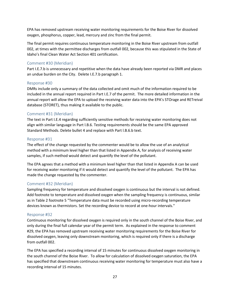EPA has removed upstream receiving water monitoring requirements for the Boise River for dissolved oxygen, phosphorus, copper, lead, mercury and zinc from the final permit.

The final permit requires continuous temperature monitoring in the Boise River upstream from outfall 002, at times with the permittee discharges from outfall 002, because this was stipulated in the State of Idaho's final Clean Water Act Section 401 certification.

# Comment #30 (Meridian)

Part I.E.7.b is unnecessary and repetitive when the data have already been reported via DMR and places an undue burden on the City. Delete I.E.7.b paragraph 1.

#### Response #30

DMRs include only a summary of the data collected and omit much of the information required to be included in the annual report required in Part I.E.7 of the permit. The more detailed information in the annual report will allow the EPA to upload the receiving water data into the EPA's STOrage and RETreival database (STORET), thus making it available to the public.

#### Comment #31 (Meridian)

The text in Part I.E.4 regarding sufficiently sensitive methods for receiving water monitoring does not align with similar language in Part l.B.6. Testing requirements should be the same EPA approved Standard Methods. Delete bullet 4 and replace with Part l.B.6.b text.

#### Response #31

The effect of the change requested by the commenter would be to allow the use of an analytical method with a minimum level higher than that listed in Appendix A, for analysis of receiving water samples, if such method would detect and quantify the level of the pollutant.

The EPA agrees that a method with a minimum level higher than that listed in Appendix A can be used for receiving water monitoring if it would detect and quantify the level of the pollutant. The EPA has made the change requested by the commenter.

#### Comment #32 (Meridian)

Sampling frequency for temperature and dissolved oxygen is continuous but the interval is not defined. Add footnote to temperature and dissolved oxygen when the sampling frequency is continuous, similar as in Table 2 footnote 5 "Temperature data must be recorded using micro-recording temperature devices known as thermistors. Set the recording device to record at one-hour intervals."

#### Response #32

Continuous monitoring for dissolved oxygen is required only in the south channel of the Boise River, and only during the final full calendar year of the permit term. As explained in the response to comment #29, the EPA has removed upstream receiving water monitoring requirements for the Boise River for dissolved oxygen, leaving only downstream monitoring, which is required only if there is a discharge from outfall 002.

The EPA has specified a recording interval of 15 minutes for continuous dissolved oxygen monitoring in the south channel of the Boise River. To allow for calculation of dissolved oxygen saturation, the EPA has specified that downstream continuous receiving water monitoring for temperature must also have a recording interval of 15 minutes.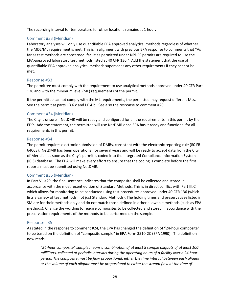The recording interval for temperature for other locations remains at 1 hour.

# Comment #33 (Meridian)

Laboratory analyses will only use quantifiable EPA approved analytical methods regardless of whether the MDL/ML requirement is met. This is in alignment with previous EPA response to comments that "As far as test methods are concerned, facilities permitted under NPDES permits are required to use the EPA-approved laboratory test methods listed at 40 CFR 136." Add the statement that the use of quantifiable EPA approved analytical methods supersedes any other requirements if they cannot be met.

#### Response #33

The permittee must comply with the requirement to use analytical methods approved under 40 CFR Part 136 and with the minimum level (ML) requirements of the permit.

If the permittee cannot comply with the ML requirements, the permittee may request different MLs. See the permit at parts I.B.6.c and I.E.4.b. See also the response to comment #20.

# Comment #34 (Meridian)

The City is unsure if NetDMR will be ready and configured for all the requirements in this permit by the EDP. Add the statement, the permittee will use NetDMR once EPA has it ready and functional for all requirements in this permit.

#### Response #34

The permit requires electronic submission of DMRs, consistent with the electronic reporting rule (80 FR 64063). NetDMR has been operational for several years and will be ready to accept data from the City of Meridian as soon as the City's permit is coded into the Integrated Compliance Information System (ICIS) database. The EPA will make every effort to ensure that the coding is complete before the first reports must be submitted using NetDMR.

#### Comment #35 (Meridian)

In Part VI, #29, the final sentence indicates that the composite shall be collected and stored in accordance with the most recent edition of Standard Methods. This is in direct conflict with Part III.C, which allows for monitoring to be conducted using test procedures approved under 40 CFR 136 (which lists a variety of test methods, not just Standard Methods). The holding times and preservatives listed in SM are for their methods only and do not match those defined in other allowable methods (such as EPA methods). Change the wording to require composites to be collected and stored in accordance with the preservation requirements of the methods to be performed on the sample.

#### Response #35

As stated in the response to comment #24, the EPA has changed the definition of "24-hour composite" to be based on the definition of "composite sample" in EPA Form 3510-2C (EPA 1990). The definition now reads:

*"24-hour composite" sample means a combination of at least 8 sample aliquots of at least 100 milliliters, collected at periodic intervals during the operating hours of a facility over a 24 hour period. The composite must be flow proportional; either the time interval between each aliquot or the volume of each aliquot must be proportional to either the stream flow at the time of*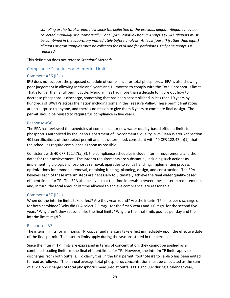*sampling or the total stream flow since the collection of the previous aliquot. Aliquots may be collected manually or automatically. For GC/MS Volatile Organic Analysis (VOA), aliquots must be combined in the laboratory immediately before analysis. At least four (4) (rather than eight) aliquots or grab samples must be collected for VOA and for phthalates. Only one analysis is required.*

This definition does not refer to *Standard Methods*.

# <span id="page-30-0"></span>Compliance Schedules and Interim Limits

#### Comment #36 (IRU)

IRU does not support the proposed schedule of compliance for total phosphorus. EPA is also showing poor judgement in allowing Meridian 9 years and 11 months to comply with the Total Phosphorus limits. That's longer than a full permit cycle. Meridian has had more than a decade to figure out how to decrease phosphorous discharge, something that has been accomplished in less than 10 years by hundreds of WWTPs across the nation including some in the Treasure Valley. These permit limitations are no surprise to anyone, and there's no reason to give them 6 years to complete final design. The permit should be revised to require full compliance in five years.

#### Response #36

The EPA has reviewed the schedules of compliance for new water quality-based effluent limits for phosphorus authorized by the Idaho Department of Environmental quality in its Clean Water Act Section 401 certifications of the subject permit and has determined, consistent with 40 CFR 122.47(a)(1), that the schedules require compliance as soon as possible.

Consistent with 40 CFR 122.47(a)(3), the compliance schedules include interim requirements and the dates for their achievement. The interim requirements are substantial, including such actions as implementing biological phosphorus removal, upgrades to solids handling, implementing process optimizations for ammonia removal, obtaining funding, planning, design, and construction. The EPA believes each of these interim steps are necessary to ultimately achieve the final water quality-based effluent limits for TP. The EPA also believes that the time intervals between these interim requirements, and, in turn, the total amount of time allowed to achieve compliance, are reasonable.

#### Comment #37 (IRU)

When do the interim limits take effect? Are they year-round? Are the interim TP limits per discharge or for both combined? Why did EPA select 2.5 mg/L for the first 5 years and 1.0 mg/L for the second five years? Why aren't they seasonal like the final limits? Why are the final limits pounds per day and the interim limits mg/L?

#### Response #37

The interim limits for ammonia, TP, copper and mercury take effect immediately upon the effective date of the final permit. The interim limits apply during the seasons stated in the permit.

Since the interim TP limits are expressed in terms of concentration, they cannot be applied as a combined loading limit like the final effluent limits for TP. However, the interim TP limits apply to discharges from both outfalls. To clarify this, in the final permit, footnote #1 to Table 5 has been edited to read as follows: "The annual average total phosphorus concentration must be calculated as the sum of all daily discharges of total phosphorus measured at outfalls 001 and 002 during a calendar year,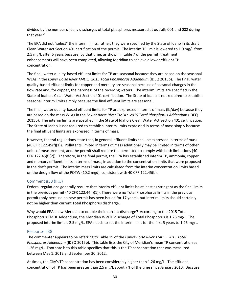divided by the number of daily discharges of total phosphorus measured at outfalls 001 and 002 during that year."

The EPA did not "select" the interim limits, rather, they were specified by the State of Idaho in its draft Clean Water Act Section 401 certification of the permit. The interim TP limit is lowered to 1.0 mg/L from 2.5 mg/L after 5 years because, by that time, as shown in table 7 of the permit, treatment enhancements will have been completed, allowing Meridian to achieve a lower effluent TP concentration.

The final, water quality-based effluent limits for TP are seasonal because they are based on the seasonal WLAs in the *Lower Boise River TMDL: 2015 Total Phosphorus Addendum* (IDEQ 2015b). The final, water quality-based effluent limits for copper and mercury are seasonal because of seasonal changes in the flow rate and, for copper, the hardness of the receiving waters. The interim limits are specified in the State of Idaho's Clean Water Act Section 401 certification. The State of Idaho is not required to establish seasonal interim limits simply because the final effluent limits are seasonal.

The final, water quality-based effluent limits for TP are expressed in terms of mass (lb/day) because they are based on the mass WLAs in the *Lower Boise River TMDL: 2015 Total Phosphorus Addendum* (IDEQ 2015b). The interim limits are specified in the State of Idaho's Clean Water Act Section 401 certification. The State of Idaho is not required to establish interim limits expressed in terms of mass simply because the final effluent limits are expressed in terms of mass.

However, federal regulations state that, in general, effluent limits shall be expressed in terms of mass (40 CFR 122.45(f)(1)). Pollutants limited in terms of mass additionally may be limited in terms of other units of measurement, and the permit shall require the permittee to comply with both limitations (40 CFR 122.45(f)(2)). Therefore, in the final permit, the EPA has established interim TP, ammonia, copper and mercury effluent limits in terms of mass, in addition to the concentration limits that were proposed in the draft permit. The interim mass limits are calculated from the interim concentration limits based on the design flow of the POTW (10.2 mgd), consistent with 40 CFR 122.45(b).

#### Comment #38 (IRU)

Federal regulations generally require that interim effluent limits be at least as stringent as the final limits in the previous permit (40 CFR 122.44(l)(1)). There were no Total Phosphorus limits in the previous permit (only because no new permit has been issued for 17 years), but interim limits should certainly not be higher than current Total Phosphorus discharge.

Why would EPA allow Meridian to double their current discharge? According to the 2015 Total Phosphorus TMDL Addendum, the Meridian WWTP discharge of Total Phosphorus is 1.26 mg/L. The proposed interim limit is 2.5 mg/L. EPA needs to set the interim limit for the first 5 years to 1.26 mg/L.

#### Response #38

The commenter appears to be referring to Table 15 of the *Lower Boise River TMDL: 2015 Total Phosphorus Addendum* (IDEQ 2015b)*.* This table lists the City of Meridian's mean TP concentration as 1.26 mg/L. Footnote b to this table specifies that this is the TP concentration that was measured between May 1, 2012 and September 30, 2012.

At times, the City's TP concentration has been considerably higher than 1.26 mg/L. The effluent concentration of TP has been greater than 2.5 mg/L about 7% of the time since January 2010. Because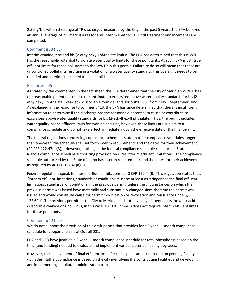2.5 mg/L is within the range of TP discharges measured by the City in the past 5 years, the EPA believes an annual average of 2.5 mg/L is a reasonable interim limit for TP, until treatment enhancements are completed.

#### Comment #39 (ICL)

Interim cyanide, zinc and bis (2-ethylhexyl) phthalate limits: The EPA has determined that this WWTP has the reasonable potential to violate water quality limits for these pollutants. As such, EPA must issue effluent limits for these pollutants to the WWTP in this permit. Failure to do so will mean that these are uncontrolled pollutants resulting in a violation of a water quality standard. This oversight needs to be rectified and interim limits need to be established.

#### Response #39

As stated by the commenter, in the fact sheet, the EPA determined that the City of Meridian WWTP has the reasonable potential to cause or contribute to excursions above water quality standards for bis (2 ethylhexyl) phthalate, weak acid dissociable cyanide, and, for outfall 001 from May – September, zinc. As explained in the response to comment #10, the EPA has since determined that there is insufficient information to determine if the discharge has the reasonable potential to cause or contribute to excursions above water quality standards for bis (2-ethylhexyl) phthalate. Thus, the permit includes water quality-based effluent limits for cyanide and zinc, however, these limits are subject to a compliance schedule and do not take effect immediately upon the effective date of the final permit.

The federal regulations concerning compliance schedules state that for compliance schedules longer than one-year "the schedule shall set forth interim requirements and the dates for their achievement" (40 CFR 122.47(a)(3)). However, nothing in the federal compliance schedule rule nor the State of Idaho's compliance schedule authorizing provision requires interim effluent limitations. The compliance schedule authorized by the State of Idaho has interim requirements and the dates for their achievement as required by 40 CFR 122.47(a)(3).

Federal regulations speak to interim effluent limitations at 40 CFR 122.44(l). This regulation states that, "interim effluent limitations, standards or conditions must be at least as stringent as the final effluent limitations, standards, or conditions in the previous permit (unless the circumstances on which the previous permit was based have materially and substantially changed since the time the permit was issued and would constitute cause for permit modification or revocation and reissuance under § 122.62.)" The previous permit for the City of Meridian did not have any effluent limits for weak acid dissociable cyanide or zinc. Thus, in this case, 40 CFR 122.44(l) does not require interim effluent limits for these pollutants.

#### Comment #40 (ICL)

We do not support the provision of this draft permit that provides for a 9 year 11 month compliance schedule for copper and zinc at Outfall 001.

EPA and DEQ have justified a 9 year 11 month compliance schedule for total phosphorus based on the time (and funding) needed to evaluate and implement various potential facility upgrades.

However, the achievement of final effluent limits for these pollutant is not based on pending facility upgrades. Rather, compliance is based on the city identifying the contributing facilities and developing and implementing a pollutant minimization plan.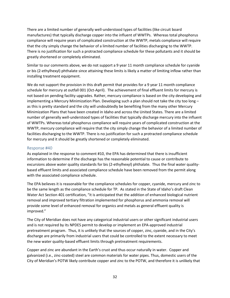There are a limited number of generally well-understood types of facilities (like circuit board manufactures) that typically discharge copper into the influent of WWTPs. Whereas total phosphorus compliance will require years of complicated construction at the WWTP, metals compliance will require that the city simply change the behavior of a limited number of facilities discharging to the WWTP. There is no justification for such a protracted compliance schedule for these pollutants and it should be greatly shortened or completely eliminated.

Similar to our comments above, we do not support a 9 year 11 month compliance schedule for cyanide or bis (2-ethylhexyl) phthalate since attaining these limits is likely a matter of limiting inflow rather than installing treatment equipment.

We do not support the provision in this draft permit that provides for a 9 year 11 month compliance schedule for mercury at outfall 001 (Oct-April). The achievement of final effluent limits for mercury is not based on pending facility upgrades. Rather, mercury compliance is based on the city developing and implementing a Mercury Minimization Plan. Developing such a plan should not take the city too long – as this is pretty standard and the city will undoubtedly be benefiting from the many other Mercury Minimization Plans that have been created in Idaho and across the United States. There are a limited number of generally well-understood types of facilities that typically discharge mercury into the influent of WWTPs. Whereas total phosphorus compliance will require years of complicated construction at the WWTP, mercury compliance will require that the city simply change the behavior of a limited number of facilities discharging to the WWTP. There is no justification for such a protracted compliance schedule for mercury and it should be greatly shortened or completely eliminated.

#### Response #40

As explained in the response to comment #10, the EPA has determined that there is insufficient information to determine if the discharge has the reasonable potential to cause or contribute to excursions above water quality standards for bis (2-ethylhexyl) phthalate. Thus the final water qualitybased effluent limits and associated compliance schedule have been removed from the permit along with the associated compliance schedule.

The EPA believes it is reasonable for the compliance schedules for copper, cyanide, mercury and zinc to be the same length as the compliance schedule for TP. As stated in the State of Idaho's draft Clean Water Act Section 401 certification, "it is anticipated that the addition of enhanced biological nutrient removal and improved tertiary filtration implemented for phosphorus and ammonia removal will provide some level of enhanced removal for organics and metals as general effluent quality is improved."

The City of Meridian does not have any categorical industrial users or other significant industrial users and is not required by its NPDES permit to develop or implement an EPA-approved industrial pretreatment program. Thus, it is unlikely that the sources of copper, zinc, cyanide, and in the City's discharge are primarily from industrial users that could be controlled to the extent necessary to meet the new water quality-based effluent limits through pretreatment requirements.

Copper and zinc are abundant in the Earth's crust and thus occur naturally in water. Copper and galvanized (i.e., zinc-coated) steel are common materials for water pipes. Thus, domestic users of the City of Meridian's POTW likely contribute copper and zinc to the POTW, and therefore it is unlikely that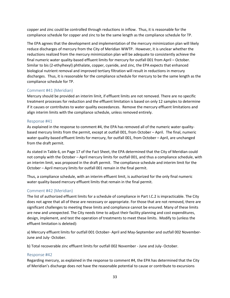copper and zinc could be controlled through reductions in inflow. Thus, it is reasonable for the compliance schedule for copper and zinc to be the same length as the compliance schedule for TP.

The EPA agrees that the development and implementation of the mercury minimization plan will likely reduce discharges of mercury from the City of Meridian WWTP. However, it is unclear whether the reductions realized from the mercury minimization plan will be adequate to consistently achieve the final numeric water quality-based effluent limits for mercury for outfall 001 from April – October. Similar to bis (2-ethylhexyl) phthalate, copper, cyanide, and zinc, the EPA expects that enhanced biological nutrient removal and improved tertiary filtration will result in reductions in mercury discharges. Thus, it is reasonable for the compliance schedule for mercury to be the same length as the compliance schedule for TP.

#### Comment #41 (Meridian)

Mercury should be provided an interim limit, if effluent limits are not removed. There are no specific treatment processes for reduction and the effluent limitation is based on only 12 samples to determine if it causes or contributes to water quality exceedances. Remove the mercury effluent limitations and align interim limits with the compliance schedule, unless removed entirely.

#### Response #41

As explained in the response to comment #4, the EPA has removed all of the numeric water qualitybased mercury limits from the permit, except at outfall 001, from October – April. The final, numeric water quality-based effluent limits for mercury, for outfall 001, from October – April, are unchanged from the draft permit.

As stated in Table 6, on Page 17 of the Fact Sheet, the EPA determined that the City of Meridian could not comply with the October – April mercury limits for outfall 001, and thus a compliance schedule, with an interim limit, was proposed in the draft permit. The compliance schedule and interim limit for the October – April mercury limits for outfall 001 remain in the final permit.

Thus, a compliance schedule, with an interim effluent limit, is authorized for the only final numeric water quality-based mercury effluent limits that remain in the final permit.

#### Comment #42 (Meridian)

The list of authorized effluent limits for a schedule of compliance in Part I.C.2 is impracticable. The City does not agree that all of these are necessary or appropriate. For those that are not removed, there are significant challenges to meeting these limits and compliance cannot be ensured. Many of these limits are new and unexpected. The City needs time to adjust their facility planning and cost expenditures, design, implement, and test the operation of treatments to meet these limits. Modify to (unless the effluent limitation is deleted):

a) Mercury effluent limits for outfall 001 October- April and May-September and outfall 002 November-June and July- October.

b) Total recoverable zinc effluent limits for outfall 002 November - June and July- October.

#### Response #42

Regarding mercury, as explained in the response to comment #4, the EPA has determined that the City of Meridian's discharge does not have the reasonable potential to cause or contribute to excursions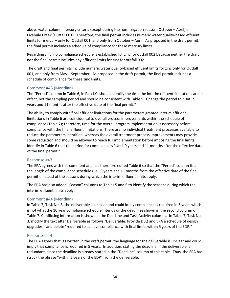above water column mercury criteria except during the non-irrigation season (October – April) in Fivemile Creek (Outfall 001). Therefore, the final permit includes numeric water quality-based effluent limits for mercury only for Outfall 001, and only from October – April. As proposed in the draft permit, the final permit includes a schedule of compliance for these mercury limits.

Regarding zinc, no compliance schedule is established for zinc for outfall 002 because neither the draft nor the final permit includes any effluent limits for zinc for outfall 002.

The draft and final permits include numeric water quality-based effluent limits for zinc only for Outfall 001, and only from May – September. As proposed in the draft permit, the final permit includes a schedule of compliance for these zinc limits.

# Comment #43 (Meridian)

The "Period" column in Table 6, in Part I.C. should identify the time the interim effluent limitations are in effect, not the sampling period and should be consistent with Table 5. Change the period to "Until 9 years and 11 months after the effective date of the final permit."

The ability to comply with final effluent limitations for the parameters granted interim effluent limitations in Table 6 are coincidental to overall process improvements within the schedule of compliance (Table 7); therefore, time for the overall program implementation is necessary before compliance with the final effluent limitations. There are no individual treatment processes available to reduce the parameters identified, whereas the overall treatment process improvements may provide some reduction and should be allowed to reach full implementation before imposing the final limits. Identify in Table 6 that the period for compliance is "Until 9 years and 11 months after the effective date of the final permit."

#### Response #43

The EPA agrees with this comment and has therefore edited Table 6 so that the "Period" column lists the length of the compliance schedule (i.e., 9 years and 11 months from the effective date of the final permit), instead of the seasons during which the interim effluent limits apply.

The EPA has also added "Season" columns to Tables 5 and 6 to identify the seasons during which the interim effluent limits apply.

#### Comment #44 (Meridian)

In Table 7, Task No. 3, the deliverable is unclear and could imply compliance is required in 5 years which is not what the 10 year compliance schedule intends or the deadlines shown in the second column of Table 7. Conflicting information is shown in the Deadline and Task Activity columns. In Table 7, Task No. 3, modify the text after Deliverable as follows "Deliverable: Provide DEQ and EPA a schedule of design upgrades." and delete "required to achieve compliance with final limits within 5 years of the EDP."

#### Response #44

The EPA agrees that, as written in the draft permit, the language for the deliverable is unclear and could imply that compliance is required in 5 years. In addition, stating the deadline in the deliverable is redundant, since the deadline is already stated in the "Deadline" column of this table. Thus, the EPA has struck the phrase "within 5 years of the EDP" from the deliverable.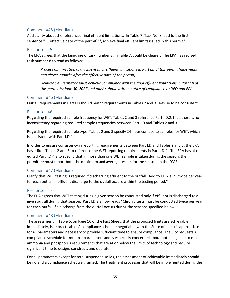#### Comment #45 (Meridian)

Add clarity about the referenced final effluent limitations. In Table 7, Task No. 8, add to the first sentence " ... effective date of the permit)" ', achieve final effluent limits issued in this permit.'

#### Response #45

The EPA agrees that the language of task number 8, in Table 7, could be clearer. The EPA has revised task number 8 to read as follows:

*Process optimization and achieve final effluent limitations in Part I.B of this permit (nine years and eleven months after the effective date of the permit).*

*Deliverable: Permittee must achieve compliance with the final effluent limitations in Part I.B of this permit by June 30, 2027 and must submit written notice of compliance to DEQ and EPA.* 

#### Comment #46 (Meridian)

Outfall requirements in Part I.D should match requirements in Tables 2 and 3. Revise to be consistent.

#### Response #46

Regarding the required sample frequency for WET, Tables 2 and 3 reference Part I.D.2, thus there is no inconsistency regarding required sample frequencies between Part I.D and Tables 2 and 3.

Regarding the required sample type, Tables 2 and 3 specify 24-hour composite samples for WET, which is consistent with Part I.D.1.

In order to ensure consistency in reporting requirements between Part I.D and Tables 2 and 3, the EPA has edited Tables 2 and 3 to reference the WET reporting requirements in Part I.D.4. The EPA has also edited Part I.D.4.a to specify that, if more than one WET sample is taken during the season, the permittee must report both the maximum and average results for the season on the DMR.

#### Comment #47 (Meridian)

Clarify that WET testing is required if discharging effluent to the outfall. Add to l.D.2.a, "...twice per year for each outfall, if effluent discharge to the outfall occurs within the testing period."

#### Response #47

The EPA agrees that WET testing during a given season be conducted only if effluent is discharged to a given outfall during that season. Part I.D.2.a now reads "Chronic tests must be conducted twice per year for each outfall if a discharge from the outfall occurs during the seasons specified below."

#### Comment #48 (Meridian)

The assessment in Table 6, on Page 16 of the Fact Sheet, that the proposed limits are achievable immediately, is impracticable. A compliance schedule negotiable with the State of Idaho is appropriate for all parameters and necessary to provide sufficient time to ensure compliance. The City requests a compliance schedule for multiple parameters and is especially concerned about not being able to meet ammonia and phosphorus requirements that are at or below the limits of technology and require significant time to design, construct, and operate.

For all parameters except for total suspended solids, the assessment of achievable immediately should be no and a compliance schedule granted. The treatment processes that will be implemented during the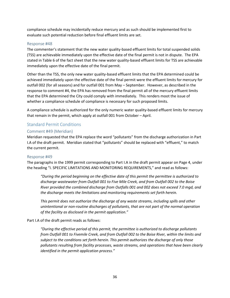compliance schedule may incidentally reduce mercury and as such should be implemented first to evaluate such potential reduction before final effluent limits are set.

#### Response #48

The commenter's statement that the new water quality-based effluent limits for total suspended solids (TSS) are achievable immediately upon the effective date of the final permit is not in dispute. The EPA stated in Table 6 of the fact sheet that the new water quality-based effluent limits for TSS are achievable immediately upon the effective date of the final permit.

Other than the TSS, the only new water quality-based effluent limits that the EPA determined could be achieved immediately upon the effective date of the final permit were the effluent limits for mercury for outfall 002 (for all seasons) and for outfall 001 from May – September. However, as described in the response to comment #4, the EPA has removed from the final permit all of the mercury effluent limits that the EPA determined the City could comply with immediately. This renders moot the issue of whether a compliance schedule of compliance is necessary for such proposed limits.

A compliance schedule is authorized for the only numeric water quality-based effluent limits for mercury that remain in the permit, which apply at outfall 001 from October – April.

#### <span id="page-37-0"></span>Standard Permit Conditions

#### Comment #49 (Meridian)

Meridian requested that the EPA replace the word "pollutants" from the discharge authorization in Part I.A of the draft permit. Meridian stated that "pollutants" should be replaced with "effluent," to match the current permit.

#### Response #49

The paragraphs in the 1999 permit corresponding to Part I.A in the draft permit appear on Page 4, under the heading "I. SPECIFIC LIMITATIONS AND MONITORING REQUIREMENTS," and read as follows:

*"During the period beginning on the effective date of this permit the permittee is authorized to discharge wastewater from Outfall 001 to Five Mile Creek, and from Outfall 002 to the Boise River provided the combined discharge from Outfalls 001 and 002 does not exceed 7.0 mgd, and the discharge meets the limitations and monitoring requirements set forth herein.*

*This permit does not authorize the discharge of any waste streams, including spills and other unintentional or non-routine discharges of pollutants, that are not part of the normal operation of the facility as disclosed in the permit application."*

#### Part I.A of the draft permit reads as follows:

*"During the effective period of this permit, the permittee is authorized to discharge pollutants from Outfall 001 to Fivemile Creek, and from Outfall 002 to the Boise River, within the limits and subject to the conditions set forth herein. This permit authorizes the discharge of only those pollutants resulting from facility processes, waste streams, and operations that have been clearly identified in the permit application process."*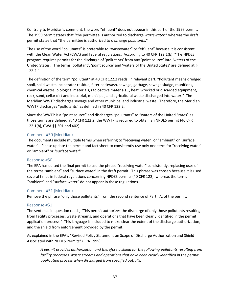Contrary to Meridian's comment, the word "effluent" does not appear in this part of the 1999 permit. The 1999 permit states that "the permittee is authorized to discharge *wastewater*," whereas the draft permit states that "the permittee is authorized to discharge *pollutants*."

The use of the word "pollutants" is preferable to "wastewater" or "effluent" because it is consistent with the Clean Water Act (CWA) and federal regulations. According to 40 CFR 122.1(b), "The NPDES program requires permits for the discharge of 'pollutants' from any 'point source' into 'waters of the United States.' The terms 'pollutant', 'point source' and 'waters of the United States' are defined at § 122.2."

The definition of the term "pollutant" at 40 CFR 122.2 reads, in relevant part, "Pollutant means dredged spoil, solid waste, incinerator residue, filter backwash, sewage, garbage, sewage sludge, munitions, chemical wastes, biological materials, radioactive materials…, heat, wrecked or discarded equipment, rock, sand, cellar dirt and industrial, municipal, and agricultural waste discharged into water." The Meridian WWTP discharges sewage and other municipal and industrial waste. Therefore, the Meridian WWTP discharges "pollutants" as defined in 40 CFR 122.2.

Since the WWTP is a "point source" and discharges "pollutants" to "waters of the United States" as those terms are defined at 40 CFR 122.2, the WWTP is required to obtain an NPDES permit (40 CFR 122.1(b), CWA §§ 301 and 402).

#### Comment #50 (Meridian)

The documents include multiple terms when referring to "receiving water" or "ambient" or "surface water". Please update the permit and fact sheet to consistently use only one term for "receiving water" or "ambient" or "surface water".

#### Response #50

The EPA has edited the final permit to use the phrase "receiving water" consistently, replacing uses of the terms "ambient" and "surface water" in the draft permit. This phrase was chosen because it is used several times in federal regulations concerning NPDES permits (40 CFR 122), whereas the terms "ambient" and "surface water" do not appear in these regulations.

# Comment #51 (Meridian)

Remove the phrase "only those pollutants" from the second sentence of Part I.A. of the permit.

#### Response #51

The sentence in question reads, "This permit authorizes the discharge of only those pollutants resulting from facility processes, waste streams, and operations that have been clearly identified in the permit application process." This language is included to make clear the extent of the discharge authorization, and the shield from enforcement provided by the permit.

As explained in the EPA's "Revised Policy Statement on Scope of Discharge Authorization and Shield Associated with NPDES Permits" (EPA 1995):

*A permit provides authorization and therefore a shield for the following pollutants resulting from facility processes, waste streams and operations that have been clearly identified in the permit application process when discharged from specified outfalls:*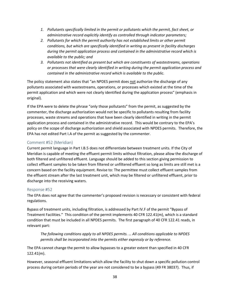- *1. Pollutants specifically limited in the permit or pollutants which the permit, fact sheet, or administrative record explicitly identify as controlled through indicator parameters;*
- *2. Pollutants for which the permit authority has not established limits or other permit conditions, but which are specifically identified in writing as present in facility discharges during the permit application process and contained in the administrative record which is available to the public; and*
- *3. Pollutants not identified as present but which are constituents of wastestreams, operations or processes that were clearly identified in writing during the permit application process and contained in the administrative record which is available to the public.*

The policy statement also states that "an NPDES permit does not authorize the discharge of any pollutants associated with wastestreams, operations, or processes which existed at the time of the permit application and which were not clearly identified during the application process" (emphasis in original).

If the EPA were to delete the phrase "only those pollutants" from the permit, as suggested by the commenter, the discharge authorization would not be specific to pollutants resulting from facility processes, waste streams and operations that have been clearly identified in writing in the permit application process and contained in the administrative record. This would be contrary to the EPA's policy on the scope of discharge authorization and shield associated with NPDES permits. Therefore, the EPA has not edited Part I.A of the permit as suggested by the commenter.

# Comment #52 (Meridian)

Current permit language in Part I.B.5 does not differentiate between treatment units. If the City of Meridian is capable of meeting the effluent permit limits without filtration, please allow the discharge of both filtered and unfiltered effluent. Language should be added to this section giving permission to collect effluent samples to be taken from filtered or unfiltered effluent so long as limits are still met is a concern based on the facility equipment. Revise to: The permittee must collect effluent samples from the effluent stream after the last treatment unit, which may be filtered or unfiltered effluent, prior to discharge into the receiving waters.

#### Response #52

The EPA does not agree that the commenter's proposed revision is necessary or consistent with federal regulations.

Bypass of treatment units, including filtration, is addressed by Part IV.F of the permit "Bypass of Treatment Facilities." This condition of the permit implements 40 CFR 122.41(m), which is a standard condition that must be included in all NPDES permits. The first paragraph of 40 CFR 122.41 reads, in relevant part:

*The following conditions apply to all NPDES permits. … All conditions applicable to NPDES permits shall be incorporated into the permits either expressly or by reference.*

The EPA cannot change the permit to allow bypasses to a greater extent than specified in 40 CFR 122.41(m).

However, seasonal effluent limitations which allow the facility to shut down a specific pollution control process during certain periods of the year are not considered to be a bypass (49 FR 38037). Thus, if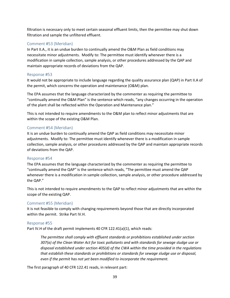filtration is necessary only to meet certain seasonal effluent limits, then the permittee may shut down filtration and sample the unfiltered effluent.

#### Comment #53 (Meridian)

In Part II.A., it is an undue burden to continually amend the O&M Plan as field conditions may necessitate minor adjustments. Modify to: The permittee must identify whenever there is a modification in sample collection, sample analysis, or other procedures addressed by the QAP and maintain appropriate records of deviations from the QAP.

#### Response #53

It would not be appropriate to include language regarding the quality assurance plan (QAP) in Part II.A of the permit, which concerns the operation and maintenance (O&M) plan.

The EPA assumes that the language characterized by the commenter as requiring the permittee to "continually amend the O&M Plan" is the sentence which reads, "any changes occurring in the operation of the plant shall be reflected within the Operation and Maintenance plan."

This is not intended to require amendments to the O&M plan to reflect minor adjustments that are within the scope of the existing O&M Plan.

#### Comment #54 (Meridian)

It is an undue burden to continually amend the QAP as field conditions may necessitate minor adjustments. Modify to: The permittee must identify whenever there is a modification in sample collection, sample analysis, or other procedures addressed by the QAP and maintain appropriate records of deviations from the QAP.

#### Response #54

The EPA assumes that the language characterized by the commenter as requiring the permittee to "continually amend the QAP" is the sentence which reads, "The permittee must amend the QAP whenever there is a modification in sample collection, sample analysis, or other procedure addressed by the QAP."

This is not intended to require amendments to the QAP to reflect minor adjustments that are within the scope of the existing QAP.

#### Comment #55 (Meridian)

It is not feasible to comply with changing requirements beyond those that are directly incorporated within the permit. Strike Part IV.H.

#### Response #55

Part IV.H of the draft permit implements 40 CFR 122.41(a)(1), which reads:

*The permittee shall comply with effluent standards or prohibitions established under section 307(a) of the Clean Water Act for toxic pollutants and with standards for sewage sludge use or disposal established under section 405(d) of the CWA within the time provided in the regulations that establish these standards or prohibitions or standards for sewage sludge use or disposal, even if the permit has not yet been modified to incorporate the requirement.*

The first paragraph of 40 CFR 122.41 reads, in relevant part: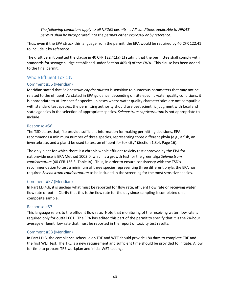*The following conditions apply to all NPDES permits. … All conditions applicable to NPDES permits shall be incorporated into the permits either expressly or by reference.*

Thus, even if the EPA struck this language from the permit, the EPA would be required by 40 CFR 122.41 to include it by reference.

The draft permit omitted the clause in 40 CFR 122.41(a)(1) stating that the permittee shall comply with standards for sewage sludge established under Section 405(d) of the CWA. This clause has been added to the final permit.

# <span id="page-41-0"></span>Whole Effluent Toxicity

# Comment #56 (Meridian)

Meridian stated that *Selenastrum capricornutum* is sensitive to numerous parameters that may not be related to the effluent. As stated in EPA guidance, depending on site-specific water quality conditions, it is appropriate to utilize specific species. In cases where water quality characteristics are not compatible with standard test species, the permitting authority should use best scientific judgment with local and state agencies in the selection of appropriate species. *Selenastrum capricornutum* is not appropriate to include.

# Response #56

The TSD states that, "to provide sufficient information for making permitting decisions, EPA recommends a minimum number of three species, representing three different phyla (e.g., a fish, an invertebrate, and a plant) be used to test an effluent for toxicity" (Section 1.3.4, Page 16).

The only plant for which there is a chronic whole effluent toxicity test approved by the EPA for nationwide use is EPA Method 1003.0, which is a growth test for the green alga *Selenastrum capricornutum* (40 CFR 136.3, Table IA). Thus, in order to ensure consistency with the TSD's recommendation to test a minimum of three species representing three different phyla, the EPA has required *Selenastrum capricornutum* to be included in the screening for the most sensitive species.

#### Comment #57 (Meridian)

In Part I.D.4.b, it is unclear what must be reported for flow rate, effluent flow rate or receiving water flow rate or both. Clarify that this is the flow rate for the day since sampling is completed on a composite sample.

# Response #57

This language refers to the effluent flow rate. Note that monitoring of the receiving water flow rate is required only for outfall 001. The EPA has edited this part of the permit to specify that it is the 24-hour average effluent flow rate that must be reported in the report of toxicity test results.

#### Comment #58 (Meridian)

In Part I.D.5, the compliance schedule on TRE and WET should provide 180 days to complete TRE and the first WET test. The TRE is a new requirement and sufficient time should be provided to initiate. Allow for time to prepare TRE workplan and initial WET testing.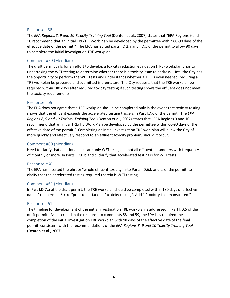#### Response #58

The *EPA Regions 8, 9 and 10 Toxicity Training Tool* (Denton et al., 2007) states that "EPA Regions 9 and 10 recommend that an initial TRE/TIE Work Plan be developed by the permittee within 60-90 days of the effective date of the permit." The EPA has edited parts I.D.2.a and I.D.5 of the permit to allow 90 days to complete the initial investigation TRE workplan.

#### Comment #59 (Meridian)

The draft permit calls for an effort to develop a toxicity reduction evaluation (TRE) workplan prior to undertaking the WET testing to determine whether there is a toxicity issue to address. Until the City has the opportunity to perform the WET tests and understands whether a TRE is even needed, requiring a TRE workplan be prepared and submitted is premature. The City requests that the TRE workplan be required within 180 days after required toxicity testing if such testing shows the effluent does not meet the toxicity requirements.

#### Response #59

The EPA does not agree that a TRE workplan should be completed only in the event that toxicity testing shows that the effluent exceeds the accelerated testing triggers in Part I.D.6 of the permit. The *EPA Regions 8, 9 and 10 Toxicity Training Tool* (Denton et al., 2007) states that "EPA Regions 9 and 10 recommend that an initial TRE/TIE Work Plan be developed by the permittee within 60-90 days of the effective date of the permit." Completing an initial investigation TRE workplan will allow the City of more quickly and effectively respond to an effluent toxicity problem, should it occur.

#### Comment #60 (Meridian)

Need to clarify that additional tests are only WET tests, and not all effluent parameters with frequency of monthly or more. In Parts I.D.6.b and c, clarify that accelerated testing is for WET tests.

#### Response #60

The EPA has inserted the phrase "whole effluent toxicity" into Parts I.D.6.b and c. of the permit, to clarify that the accelerated testing required therein is WET testing.

#### Comment #61 (Meridian)

In Part I.D.7.a of the draft permit, the TRE workplan should be completed within 180 days of effective date of the permit. Strike "prior to initiation of toxicity testing". Add "if toxicity is demonstrated."

#### Response #61

The timeline for development of the initial investigation TRE workplan is addressed in Part I.D.5 of the draft permit. As described in the response to comments 58 and 59, the EPA has required the completion of the initial investigation TRE workplan with 90 days of the effective date of the final permit, consistent with the recommendations of the *EPA Regions 8, 9 and 10 Toxicity Training Tool* (Denton et al., 2007).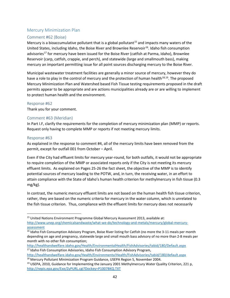# <span id="page-43-0"></span>Mercury Minimization Plan

# Comment #62 (Boise)

Mercury is a bioaccumulative pollutant that is a global pollutant<sup>[15](#page-43-1)</sup> and impacts many waters of the United States, including Idaho, the Boise River and Brownlee Reservoir<sup>16</sup>. Idaho fish consumption advisories<sup>[17](#page-43-3)</sup> for mercury have been issued for the Boise River (catfish at Parma, Idaho), Brownlee Reservoir (carp, catfish, crappie, and perch), and statewide (large and smallmouth bass), making mercury an important permitting issue for all point sources discharging mercury to the Boise River.

Municipal wastewater treatment facilities are generally a minor source of mercury, however they do have a role to play in the control of mercury and the protection of human health<sup>[18,](#page-43-4)19</sup>. The proposed Mercury Minimization Plan and Watershed based Fish Tissue testing requirements proposed in the draft permits appear to be appropriate and are actions municipalities already are or are willing to implement to protect human health and the environment.

#### Response #62

Thank you for your comment.

#### Comment #63 (Meridian)

In Part I.F, clarify the requirements for the completion of mercury minimization plan (MMP) or reports. Request only having to complete MMP or reports if not meeting mercury limits.

#### Response #63

As explained in the response to comment #4, all of the mercury limits have been removed from the permit, except for outfall 001 from October – April.

Even if the City had effluent limits for mercury year-round, for both outfalls, it would not be appropriate to require completion of the MMP or associated reports only if the City is not meeting its mercury effluent limits. As explained on Pages 25-26 the fact sheet, the objective of the MMP is to identify potential sources of mercury loading to the POTW, and, in turn, the receiving water, in an effort to attain compliance with the State of Idaho's human health criterion for methylmercury in fish tissue (0.3 mg/kg).

In contrast, the numeric mercury effluent limits are not based on the human health fish tissue criterion, rather, they are based on the numeric criteria for mercury in the water column, which is unrelated to the fish tissue criterion. Thus, compliance with the effluent limits for mercury does not necessarily

l

<span id="page-43-1"></span><sup>&</sup>lt;sup>15</sup> United Nations Environment Programme Global Mercury Assessment 2013, available at: [http://www.unep.org/chemicalsandwaste/what-we-do/technology-and-metals/mercury/global-mercury-](http://www.unep.org/chemicalsandwaste/what-we-do/technology-and-metals/mercury/global-mercury-assessment)

<span id="page-43-2"></span>assessment<br><sup>16</sup> Idaho Fish Consumption Advisory Program, Boise River listing for Catfish (no more the 3-11 meals per month depending on age and pregnancy, statewide large and small mouth bass advisory of no more than 2-8 meals per month with no other fish consumption;

<span id="page-43-3"></span><http://healthandwelfare.idaho.gov/Health/EnvironmentalHealth/FishAdvisories/tabid/180/Default.aspx>17 Idaho Fish Consumption Advisories, Idaho Fish Consumption Advisories, Idaho Fish Consumption Advisory Program,

<http://healthandwelfare.idaho.gov/Health/Environmenta!Health/FishAdvisories/tabid/180/default.aspx>18 Mercury Pollutant Minimization Program Guidance, USEPA Region 5, November 2004.

<span id="page-43-5"></span><span id="page-43-4"></span><sup>&</sup>lt;sup>19</sup> USEPA, 2010, Guidance for Implementing the January 2001 Methylmercury Water Quality Criterion, 221 p, <http://nepis.epa.gov/Exe/ZyPURL.cgi?Dockey=P1007BKQ.TXT>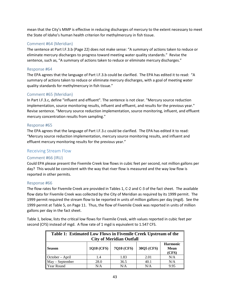mean that the City's MMP is effective in reducing discharges of mercury to the extent necessary to meet the State of Idaho's human health criterion for methylmercury in fish tissue.

# Comment #64 (Meridian)

The sentence at Part l.F.3.b (Page 22) does not make sense: "A summary of actions taken to reduce or eliminate mercury discharges to progress toward meeting water quality standards." Revise the sentence, such as, "A summary of actions taken to reduce or eliminate mercury discharges."

#### Response #64

The EPA agrees that the language of Part I.F.3.b could be clarified. The EPA has edited it to read: "A summary of actions taken to reduce or eliminate mercury discharges, with a goal of meeting water quality standards for methylmercury in fish tissue."

# Comment #65 (Meridian)

In Part I.F.3.c, define "influent and effluent". The sentence is not clear. "Mercury source reduction implementation, source monitoring results, influent and effluent, and results for the previous year." Revise sentence. "Mercury source reduction implementation, source monitoring, influent, and effluent mercury concentration results from sampling."

# Response #65

The EPA agrees that the language of Part I.F.3.c could be clarified. The EPA has edited it to read: "Mercury source reduction implementation, mercury source monitoring results, and influent and effluent mercury monitoring results for the previous year."

# <span id="page-44-0"></span>Receiving Stream Flow

#### Comment #66 (IRU)

Could EPA please present the Fivemile Creek low flows in cubic feet per second, not million gallons per day? This would be consistent with the way that river flow is measured and the way low flow is reported in other permits.

#### Response #66

The flow rates for Fivemile Creek are provided in Tables 1, C-2 and C-3 of the fact sheet. The available flow data for Fivemile Creek was collected by the City of Meridian as required by its 1999 permit. The 1999 permit required the stream flow to be reported in units of million gallons per day (mgd). See the 1999 permit at Table 5, on Page 11. Thus, the flow of Fivemile Creek was reported in units of million gallons per day in the fact sheet.

Table 1, below, lists the critical low flows for Fivemile Creek, with values reported in cubic feet per second (CFS) instead of mgd. A flow rate of 1 mgd is equivalent to 1.547 CFS.

| Table 1: Estimated Low Flows in Fivemile Creek Upstream of the<br><b>City of Meridian Outfall</b>         |      |      |      |      |  |  |
|-----------------------------------------------------------------------------------------------------------|------|------|------|------|--|--|
| <b>Harmonic</b><br><b>1Q10 (CFS)</b><br>7Q10 (CFS)<br>30Q5 (CFS)<br><b>Mean</b><br><b>Season</b><br>(CFS) |      |      |      |      |  |  |
| October – April                                                                                           | 1.4  | 1.83 | 2.01 | N/A  |  |  |
| May - September                                                                                           | 28.0 | 36.5 | 40.1 | N/A  |  |  |
| Year Round                                                                                                | N/A  | N/A  | N/A  | 9.95 |  |  |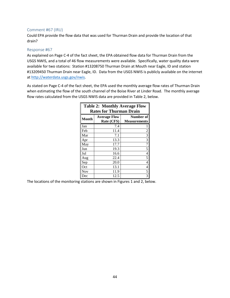#### Comment #67 (IRU)

Could EPA provide the flow data that was used for Thurman Drain and provide the location of that drain?

#### Response #67

As explained on Page C-4 of the fact sheet, the EPA obtained flow data for Thurman Drain from the USGS NWIS, and a total of 46 flow measurements were available. Specifically, water quality data were available for two stations: Station #13208750 Thurman Drain at Mouth near Eagle, ID and station #13209450 Thurman Drain near Eagle, ID. Data from the USGS NWIS is publicly available on the internet at [http://waterdata.usgs.gov/nwis.](http://waterdata.usgs.gov/nwis)

As stated on Page C-4 of the fact sheet, the EPA used the monthly average flow rates of Thurman Drain when estimating the flow of the south channel of the Boise River at Linder Road. The monthly average flow rates calculated from the USGS NWIS data are provided in Table 2, below.

| <b>Table 2: Monthly Average Flow</b><br><b>Rates for Thurman Drain</b> |                     |                          |  |  |  |
|------------------------------------------------------------------------|---------------------|--------------------------|--|--|--|
| Month                                                                  | <b>Average Flow</b> | Number of                |  |  |  |
|                                                                        | Rate (CFS)          | <b>Measurements</b>      |  |  |  |
| Jan                                                                    | 7.4                 | 1                        |  |  |  |
| Feb                                                                    | 11.4                | $\overline{c}$           |  |  |  |
| Mar                                                                    | 7.1                 | $\overline{\mathbf{3}}$  |  |  |  |
| Apr                                                                    | 13.3                | $\overline{3}$           |  |  |  |
| May                                                                    | 17.7                | 7                        |  |  |  |
| Jun                                                                    | 19.3                | 5                        |  |  |  |
| Jul                                                                    | 16.6                | $\overline{4}$           |  |  |  |
| Aug                                                                    | 22.4                | 5                        |  |  |  |
| Sep                                                                    | 20.0                | $\overline{4}$           |  |  |  |
| Oct                                                                    | 13.1                | $\overline{\mathcal{L}}$ |  |  |  |
| Nov                                                                    | 11.9                | 5                        |  |  |  |
| Dec                                                                    | 12.5                | $\overline{3}$           |  |  |  |

The locations of the monitoring stations are shown in Figures 1 and 2, below.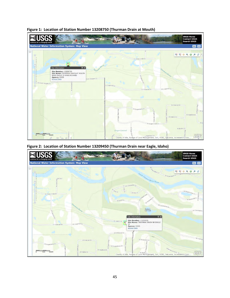

**Figure 1: Location of Station Number 13208750 (Thurman Drain at Mouth)**

**Figure 2: Location of Station Number 13209450 (Thurman Drain near Eagle, Idaho)**

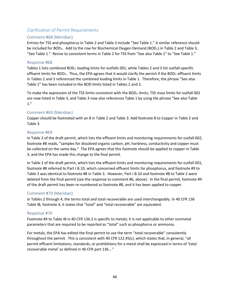# <span id="page-47-0"></span>Clarification of Permit Requirements

#### Comment #68 (Meridian)

Entries for TSS and phosphorus in Table 2 and Table 3 include "See Table 1." A similar reference should be included for BOD<sub>5</sub>. Add to the row for Biochemical Oxygen Demand (BOD<sub>5</sub>) in Table 2 and Table 3, "See Table 1." Revise to consistent terms in Table 2 for TSS from "See also Table 1" to "See Table 1."

#### Response #68

Tables 1 lists combined BOD<sub>5</sub> loading limits for outfalls 001, while Tables 2 and 3 list outfall-specific effluent limits for BOD<sub>5</sub>. Thus, the EPA agrees that it would clarify the permit if the BOD<sub>5</sub> effluent limits in Tables 2 and 3 referenced the combined loading limits in Table 1. Therefore, the phrase "See also Table 1" has been included in the BOD limits listed in Tables 2 and 3.

To make the expression of the TSS limits consistent with the BOD<sub>5</sub> limits, TSS mass limits for outfall 002 are now listed in Table 3, and Table 3 now also references Table 1 by using the phrase "See also Table 1."

#### Comment #69 (Meridian)

Copper should be footnoted with an 8 in Table 2 and Table 3. Add footnote 8 to Copper in Table 2 and Table 3.

#### Response #69

In Table 3 of the draft permit, which lists the effluent limits and monitoring requirements for outfall 002, footnote #8 reads, "samples for dissolved organic carbon, pH, hardness, conductivity and copper must be collected on the same day." The EPA agrees that this footnote should be applied to copper in Table 3, and the EPA has made this change to the final permit.

In Table 2 of the draft permit, which lists the effluent limits and monitoring requirements for outfall 001, footnote #8 referred to Part I.B.10, which concerned effluent limits for phosphorus, and footnote #9 to Table 2 was identical to footnote #8 in Table 3. However, Part I.B.10 and footnote #8 to Table 2 were deleted from the final permit (see the response to comment #6, above). In the final permit, footnote #9 of the draft permit has been re-numbered as footnote #8, and it has been applied to copper.

#### Comment #70 (Meridian)

In Tables 2 through 4, the terms total and total recoverable are used interchangeably. In 40 CFR 136 Table IB, footnote 4, it states that "total" and "total recoverable" are equivalent.

#### Response #70

Footnote #4 to Table IB in 40 CFR 136.3 is specific to metals; it is not applicable to other nonmetal parameters that are required to be reported as "total" such as phosphorus or ammonia.

For metals, the EPA has edited the final permit to use the term "total recoverable" consistently throughout the permit. This is consistent with 40 CFR 122.45(c), which states that, in general, "all permit effluent limitations, standards, or prohibitions for a metal shall be expressed in terms of 'total recoverable metal' as defined in 40 CFR part 136…."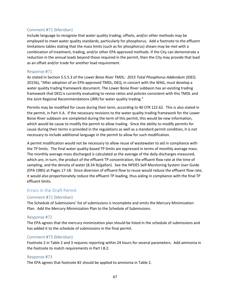#### Comment #71 (Meridian)

Include language to recognize that water quality trading, offsets, and/or other methods may be employed to meet water quality standards, particularly for phosphorus. Add a footnote to the effluent limitations tables stating that the mass limits (such as for phosphorus) shown may be met with a combination of treatment, trading, and/or other EPA approved methods. If the City can demonstrate a reduction in the annual loads beyond those required in the permit, then the City may provide that load as an offset and/or trade for another load requirement.

#### Response #71

As stated in Section 5.5.5.3 of the *Lower Boise River TMDL: 2015 Total Phosphorus Addendum* (IDEQ 2015b), "After adoption of an EPA-approved TMDL, DEQ, in concert with the WAG, must develop a water quality trading framework document. The Lower Boise River subbasin has an existing trading framework that DEQ is currently evaluating to revise ratios and policies consistent with this TMDL and the Joint Regional Recommendations (JRR) for water quality trading."

Permits may be modified for cause during their term, according to 40 CFR 122.62. This is also stated in the permit, in Part V.A. If the necessary revisions to the water quality trading framework for the Lower Boise River subbasin are completed during the term of this permit, this would be new information, which would be cause to modify the permit to allow trading. Since the ability to modify permits for cause during their terms is provided in the regulations as well as a standard permit condition, it is not necessary to include additional language in the permit to allow for such modification.

A permit modification would not be necessary to allow reuse of wastewater to aid in compliance with the TP limits. The final water quality-based TP limits are expressed in terms of monthly average mass. The monthly average mass discharged is calculated as the average of the daily discharges measured, which are, in turn, the product of the effluent TP concentration, the effluent flow rate at the time of sampling, and the density of water (8.34 lb/gallon). See the NPDES Self-Monitoring System User Guide (EPA 1985) at Pages 17-18. Since diversion of effluent flow to reuse would reduce the effluent flow rate, it would also proportionately reduce the effluent TP loading, thus aiding in compliance with the final TP effluent limits.

# <span id="page-48-0"></span>Errors in the Draft Permit

#### Comment #72 (Meridian)

The Schedule of Submissions' list of submissions is incomplete and omits the Mercury Minimization Plan. Add the Mercury Minimization Plan to the Schedule of Submissions.

#### Response #72

The EPA agrees that the mercury minimization plan should be listed in the schedule of submissions and has added it to the schedule of submissions in the final permit.

#### Comment #73 (Meridian)

Footnote 2 in Table 2 and 3 requires reporting within 24 hours for several parameters. Add ammonia in the footnote to match requirements in Part l.B.2.

#### Response #73

The EPA agrees that footnote #2 should be applied to ammonia in Table 2.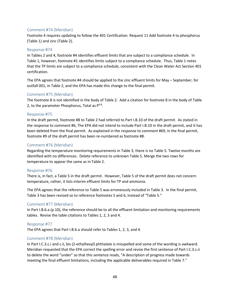#### Comment #74 (Meridian)

Footnote 4 requires updating to follow the 401 Certification. Request 11 Add footnote 4 to phosphorus (Table 1) and zinc (Table 2).

#### Response #74

In Tables 2 and 4, footnote #4 identifies effluent limits that are subject to a compliance schedule. In Table 1, however, footnote #1 identifies limits subject to a compliance schedule. Thus, Table 1 notes that the TP limits are subject to a compliance schedule, consistent with the Clean Water Act Section 401 certification.

The EPA agrees that footnote #4 should be applied to the zinc effluent limits for May – September, for outfall 001, in Table 2, and the EPA has made this change to the final permit.

#### Comment #75 (Meridian)

The footnote 8 is not identified in the body of Table 2. Add a citation for footnote 8 in the body of Table 2, to the parameter Phosphorus, Total as  $P^{4,8}$ .

#### Response #75

In the draft permit, footnote #8 to Table 2 had referred to Part I.B.10 of the draft permit. As stated in the response to comment #6, The EPA did not intend to include Part I.B.10 in the draft permit, and it has been deleted from the final permit. As explained in the response to comment #69, in the final permit, footnote #9 of the draft permit has been re-numbered as footnote #8.

#### Comment #76 (Meridian)

Regarding the temperature monitoring requirements in Table 3, there is no Table 5. Twelve months are identified with no differences. Delete reference to unknown Table 5. Merge the two rows for temperature to appear the same as in Table 2.

#### Response #76

There is, in fact, a Table 5 in the draft permit. However, Table 5 of the draft permit does not concern temperature, rather, it lists interim effluent limits for TP and ammonia.

The EPA agrees that the reference to Table 5 was erroneously included in Table 3. In the final permit, Table 3 has been revised so to reference footnotes 5 and 6, instead of "Table 5."

#### Comment #77 (Meridian)

In Part I.B.6.a (p 10), the reference should be to all the effluent limitation and monitoring requirements tables. Revise the table citations to Tables 1, 2, 3 and 4.

#### Response #77

The EPA agrees that Part I.B.6.a should refer to Tables 1, 2, 3, and 4.

#### Comment #78 (Meridian)

In Part I.C.3.c.i and c.ii, bis (2-ethylhexyl) phthalate is misspelled and some of the wording is awkward. Meridian requested that the EPA correct the spelling error and revise the first sentence of Part I.C.3.c.ii to delete the word "under" so that this sentence reads, "A description of progress made towards meeting the final effluent limitations, including the applicable deliverables required in Table 7."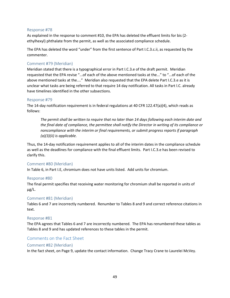#### Response #78

As explained in the response to comment #10, the EPA has deleted the effluent limits for bis (2 ethylhexyl) phthalate from the permit, as well as the associated compliance schedule.

The EPA has deleted the word "under" from the first sentence of Part I.C.3.c.ii, as requested by the commenter.

#### Comment #79 (Meridian)

Meridian stated that there is a typographical error in Part I.C.3.e of the draft permit. Meridian requested that the EPA revise "...of each of the above mentioned tasks at the..." to "...of each of the above mentioned tasks at the...." Meridian also requested that the EPA delete Part I.C.3.e as it is unclear what tasks are being referred to that require 14 day notification. All tasks in Part l.C. already have timelines identified in the other subsections.

#### Response #79

The 14-day notification requirement is in federal regulations at 40 CFR 122.47(a)(4), which reads as follows:

*The permit shall be written to require that no later than 14 days following each interim date and the final date of compliance, the permittee shall notify the Director in writing of its compliance or noncompliance with the interim or final requirements, or submit progress reports if paragraph (a)(3)(ii) is applicable.*

Thus, the 14-day notification requirement applies to all of the interim dates in the compliance schedule as well as the deadlines for compliance with the final effluent limits. Part I.C.3.e has been revised to clarify this.

#### Comment #80 (Meridian)

In Table 6, in Part I.E, chromium does not have units listed. Add units for chromium.

#### Response #80

The final permit specifies that receiving water monitoring for chromium shall be reported in units of µg/L.

#### Comment #81 (Meridian)

Tables 6 and 7 are incorrectly numbered. Renumber to Tables 8 and 9 and correct reference citations in text.

#### Response #81

The EPA agrees that Tables 6 and 7 are incorrectly numbered. The EPA has renumbered these tables as Tables 8 and 9 and has updated references to these tables in the permit.

#### <span id="page-50-0"></span>Comments on the Fact Sheet

#### Comment #82 (Meridian)

In the fact sheet, on Page 9, update the contact information. Change Tracy Crane to Laurelei McVey.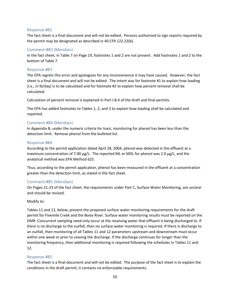#### Response #82

The fact sheet is a final document and will not be edited. Persons authorized to sign reports required by the permit may be designated as described in 40 CFR 122.22(b).

#### Comment #83 (Meridian)

In the fact sheet, in Table 7 on Page 19, footnotes 1 and 2 are not present. Add footnotes 1 and 2 to the bottom of Table 7.

#### Response #83

The EPA regrets this error and apologizes for any inconvenience it may have caused. However, the fact sheet is a final document and will not be edited. The intent was for footnote #1 to explain how loading (i.e., in lb/day) is to be calculated and for footnote #2 to explain how percent removal shall be calculated.

Calculation of percent removal is explained in Part I.B.4 of the draft and final permits.

The EPA has added footnotes to Tables 1, 2, and 3 to explain how loading shall be calculated and reported.

#### Comment #84 (Meridian)

In Appendix B, under the numeric criteria for toxic, monitoring for phenol has been less than the detection limit. Remove phenol from the bulleted list.

#### Response #84

According to the permit application dated April 28, 2004, phenol was detected in the effluent at a maximum concentration of 7.00  $\mu$ g/L. The reported ML or MDL for phenol was 2.0  $\mu$ g/L, and the analytical method was EPA Method 625.

Thus, according to the permit application, phenol has been measured in the effluent at a concentration greater than the detection limit, as stated in the fact sheet.

#### Comment #85 (Meridian)

On Pages 21-23 of the fact sheet, the requirements under Part C, Surface Water Monitoring, are unclear and should be revised.

#### Modify to:

Tables 11 and 12, below, present the proposed surface water monitoring requirements for the draft permit for Fivemile Creek and the Boise River. Surface water monitoring results must be reported on the DMR. Concurrent sampling need only occur at the receiving water that effluent is being discharged to. If there is no discharge to the outfall, then no surface water monitoring is required. If there is discharge to an outfall, then monitoring of all Tables 11 and 12 parameters upstream and downstream must occur within one week or prior to ceasing the discharge. If the discharge continues for longer than the monitoring frequency, then additional monitoring is required following the schedules in Tables 11 and 12.

#### Response #85

The fact sheet is a final document and will not be edited. The purpose of the fact sheet is to explain the conditions in the draft permit; it contains no enforceable requirements.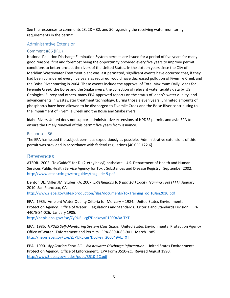See the responses to comments 23, 28 – 32, and 50 regarding the receiving water monitoring requirements in the permit.

# <span id="page-52-0"></span>Administrative Extension

# Comment #86 (IRU)

National Pollution Discharge Elimination System permits are issued for a period of five years for many good reasons, first and foremost being the opportunity provided every five years to improve permit conditions to better protect the rivers of the United States. In the sixteen years since the City of Meridian Wastewater Treatment plant was last permitted, significant events have occurred that, if they had been considered every five years as required, would have decreased pollution of Fivemile Creek and the Boise River starting in 2004. These events include the approval of Total Maximum Daily Loads for Fivemile Creek, the Boise and the Snake rivers, the collection of relevant water quality data by US Geological Survey and others, many EPA-approved reports on the status of Idaho's water quality, and advancements in wastewater treatment technology. During those eleven years, unlimited amounts of phosphorus have been allowed to be discharged to Fivemile Creek and the Boise River contributing to the impairment of Fivemile Creek and the Boise and Snake rivers.

Idaho Rivers United does not support administrative extensions of NPDES permits and asks EPA to ensure the timely renewal of this permit five years from issuance.

#### Response #86

The EPA has issued the subject permit as expeditiously as possible. Administrative extensions of this permit was provided in accordance with federal regulations (40 CFR 122.6).

# <span id="page-52-1"></span>References

ATSDR. 2002. ToxGuide™ for Di (2-ethylhexyl) phthalate. U.S. Department of Health and Human Services Public Health Service Agency for Toxic Substances and Disease Registry. September 2002. <http://www.atsdr.cdc.gov/toxguides/toxguide-9.pdf>

Denton DL, Miller JM, Stuber RA. 2007. *EPA Regions 8, 9 and 10 Toxicity Training Tool (TTT)*. January 2010. San Francisco, CA.

<http://www2.epa.gov/sites/production/files/documents/ToxTrainingTool10Jan2010.pdf>

EPA. 1985. Ambient Water Quality Criteria for Mercury – 1984. United States Environmental Protection Agency. Office of Water. Regulations and Standards. Criteria and Standards Division. EPA 440/5-84-026. January 1985.

[http://nepis.epa.gov/Exe/ZyPURL.cgi?Dockey=P100043](http://nepis.epa.gov/Exe/ZyPURL.cgi?Dockey=P100043A.TXT)A.TXT

EPA. 1985. *NPDES Self-Monitoring System User Guide*. United States Environmental Protection Agency Office of Water. Enforcement and Permits. EPA-830-R-85-901. March 1985. <http://nepis.epa.gov/Exe/ZyPURL.cgi?Dockey=200049AL.TXT>

EPA. 1990. *Application Form 2C – Wastewater Discharge Information*. United States Environmental Protection Agency. Office of Enforcement. EPA Form 3510-2C. Revised August 1990. <http://www3.epa.gov/npdes/pubs/3510-2C.pdf>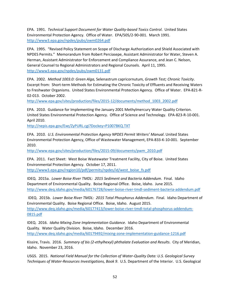EPA. 1991. *Technical Support Document for Water Quality-based Toxics Control*. United States Environmental Protection Agency. Office of Water. EPA/505/2-90-001. March 1991. <http://www3.epa.gov/npdes/pubs/owm0264.pdf>

EPA. 1995. "Revised Policy Statement on Scope of Discharge Authorization and Shield Associated with NPDES Permits." Memorandum from Robert Perciasepe, Assistant Administrator for Water, Steven A. Herman, Assistant Administrator for Enforcement and Compliance Assurance, and Jean C. Nelson, General Counsel to Regional Administrators and Regional Counsels. April 11, 1995. <http://www3.epa.gov/npdes/pubs/owm0131.pdf>

EPA. 2002. *Method 1003.0: Green Alga,* Selenastrum capricornutum*, Growth Test; Chronic Toxicity*. Excerpt from: Short-term Methods for Estimating the Chronic Toxicity of Effluents and Receiving Waters to Freshwater Organisms. United States Environmental Protection Agency. Office of Water. EPA-821-R-02-013. October 2002.

[http://www.epa.gov/sites/production/files/2015-12/documents/method\\_1003\\_2002.pdf](http://www.epa.gov/sites/production/files/2015-12/documents/method_1003_2002.pdf)

EPA. 2010. Guidance for Implementing the January 2001 Methylmercury Water Quality Criterion. United States Environmental Protection Agency. Office of Science and Technology. EPA-823-R-10-001. April 2010.

<http://nepis.epa.gov/Exe/ZyPURL.cgi?Dockey=P1007BKQ.TXT>

EPA. 2010. *U.S. Environmental Protection Agency NPDES Permit Writers' Manual*. United States Environmental Protection Agency, Office of Wastewater Management, EPA-833-K-10-001. September 2010.

[http://www.epa.gov/sites/production/files/2015-09/documents/pwm\\_2010.pdf](http://www.epa.gov/sites/production/files/2015-09/documents/pwm_2010.pdf)

EPA. 2011. Fact Sheet: West Boise Wastewater Treatment Facility, City of Boise. United States Environmental Protection Agency. October 17, 2011. [http://www3.epa.gov/region10/pdf/permits/npdes/id/west\\_boise\\_fs.pdf](http://www3.epa.gov/region10/pdf/permits/npdes/id/west_boise_fs.pdf)

IDEQ. 2015a. *Lower Boise River TMDL: 2015 Sediment and Bacteria Addendum*. Final. Idaho Department of Environmental Quality. Boise Regional Office. Boise, Idaho. June 2015. <http://www.deq.idaho.gov/media/60176728/lower-boise-river-tmdl-sediment-bacteria-addendum.pdf>

IDEQ. 2015b. *Lower Boise River TMDL: 2015 Total Phosphorus Addendum*. Final. Idaho Department of Environmental Quality. Boise Regional Office. Boise, Idaho. August 2015. [http://www.deq.idaho.gov/media/60177413/lower-boise-river-tmdl-total-phosphorus-addendum-](http://www.deq.idaho.gov/media/60177413/lower-boise-river-tmdl-total-phosphorus-addendum-0815.pdf)[0815.pdf](http://www.deq.idaho.gov/media/60177413/lower-boise-river-tmdl-total-phosphorus-addendum-0815.pdf)

IDEQ. 2016. *Idaho Mixing Zone Implementation Guidance*. Idaho Department of Environmental Quality. Water Quality Division. Boise, Idaho. December 2016. <http://www.deq.idaho.gov/media/60179492/mixing-zone-implementation-guidance-1216.pdf>

Kissire, Travis. 2016. *Summary of bis (2-ethylhexyl) phthalate Evaluation and Results*. City of Meridian, Idaho. November 23, 2016.

USGS. 2015. *National Field Manual for the Collection of Water-Quality Data: U.S. Geological Survey Techniques of Water-Resources Investigations, Book 9*. U.S. Department of the Interior. U.S. Geological